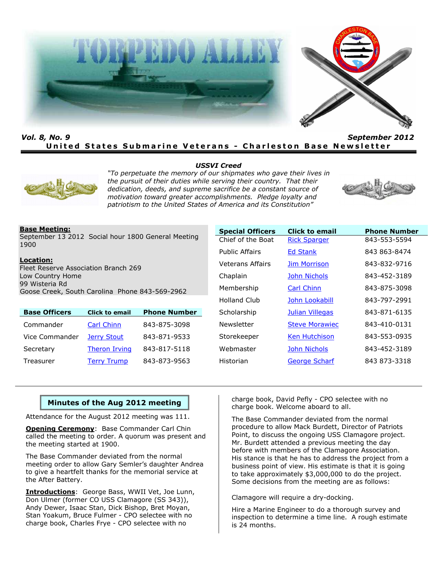

### *Vol. 8, No. 9 September 2012* **United States Submarine Veterans - Charleston Base Newsletter**

#### *USSVI Creed*



*"To perpetuate the memory of our shipmates who gave their lives in the pursuit of their duties while serving their country. That their dedication, deeds, and supreme sacrifice be a constant source of motivation toward greater accomplishments. Pledge loyalty and patriotism to the United States of America and its Constitution"*



#### **Base Meeting:**

September 13 2012 Social hour 1800 General Meeting 1900

#### **Location:**

Fleet Reserve Association Branch 269 Low Country Home 99 Wisteria Rd Goose Creek, South Carolina Phone 843-569-2962

| <b>Base Officers</b> | <b>Click to email</b> | <b>Phone Number</b> |
|----------------------|-----------------------|---------------------|
| Commander            | <b>Carl Chinn</b>     | 843-875-3098        |
| Vice Commander       | <b>Jerry Stout</b>    | 843-871-9533        |
| Secretary            | <b>Theron Irving</b>  | 843-817-5118        |
| Treasurer            | <b>Terry Trump</b>    | 843-873-9563        |

| <b>Special Officers</b> | <b>Click to email</b>  | <b>Phone Number</b> |
|-------------------------|------------------------|---------------------|
| Chief of the Boat       | <b>Rick Sparger</b>    | 843-553-5594        |
| Public Affairs          | <b>Ed Stank</b>        | 843 863-8474        |
| Veterans Affairs        | <b>Jim Morrison</b>    | 843-832-9716        |
| Chaplain                | <b>John Nichols</b>    | 843-452-3189        |
| Membership              | <b>Carl Chinn</b>      | 843-875-3098        |
| Holland Club            | John Lookabill         | 843-797-2991        |
| Scholarship             | <b>Julian Villegas</b> | 843-871-6135        |
| Newsletter              | <b>Steve Morawiec</b>  | 843-410-0131        |
| Storekeeper             | <b>Ken Hutchison</b>   | 843-553-0935        |
| Webmaster               | <b>John Nichols</b>    | 843-452-3189        |
| Historian               | <b>George Scharf</b>   | 843 873-3318        |

#### **Minutes of the Aug 2012 meeting**

Attendance for the August 2012 meeting was 111.

**Opening Ceremony:** Base Commander Carl Chin called the meeting to order. A quorum was present and the meeting started at 1900.

The Base Commander deviated from the normal meeting order to allow Gary Semler's daughter Andrea to give a heartfelt thanks for the memorial service at the After Battery.

**Introductions**: George Bass, WWII Vet, Joe Lunn, Don Ulmer (former CO USS Clamagore (SS 343)), Andy Dewer, Isaac Stan, Dick Bishop, Bret Moyan, Stan Yoakum, Bruce Fulmer - CPO selectee with no charge book, Charles Frye - CPO selectee with no

charge book, David Pefly - CPO selectee with no charge book. Welcome aboard to all.

The Base Commander deviated from the normal procedure to allow Mack Burdett, Director of Patriots Point, to discuss the ongoing USS Clamagore project. Mr. Burdett attended a previous meeting the day before with members of the Clamagore Association. His stance is that he has to address the project from a business point of view. His estimate is that it is going to take approximately \$3,000,000 to do the project. Some decisions from the meeting are as follows:

Clamagore will require a dry-docking.

Hire a Marine Engineer to do a thorough survey and inspection to determine a time line. A rough estimate is 24 months.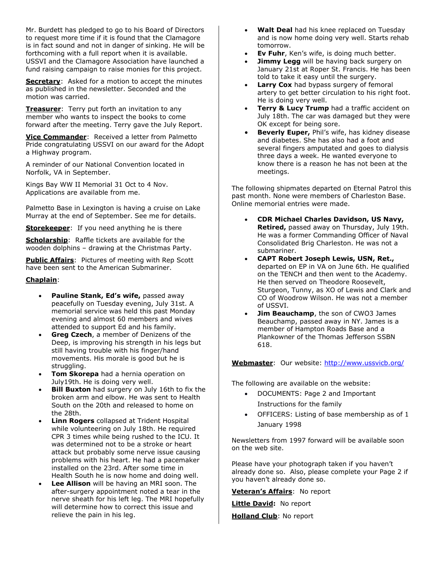Mr. Burdett has pledged to go to his Board of Directors to request more time if it is found that the Clamagore is in fact sound and not in danger of sinking. He will be forthcoming with a full report when it is available. USSVI and the Clamagore Association have launched a fund raising campaign to raise monies for this project.

**Secretary:** Asked for a motion to accept the minutes as published in the newsletter. Seconded and the motion was carried.

**Treasurer**: Terry put forth an invitation to any member who wants to inspect the books to come forward after the meeting. Terry gave the July Report.

**Vice Commander**: Received a letter from Palmetto Pride congratulating USSVI on our award for the Adopt a Highway program.

A reminder of our National Convention located in Norfolk, VA in September.

Kings Bay WW II Memorial 31 Oct to 4 Nov. Applications are available from me.

Palmetto Base in Lexington is having a cruise on Lake Murray at the end of September. See me for details.

**Storekeeper**: If you need anything he is there

**Scholarship**: Raffle tickets are available for the wooden dolphins – drawing at the Christmas Party.

**Public Affairs**: Pictures of meeting with Rep Scott have been sent to the American Submariner.

#### **Chaplain**:

- **Pauline Stank, Ed's wife,** passed away peacefully on Tuesday evening, July 31st. A memorial service was held this past Monday evening and almost 60 members and wives attended to support Ed and his family.
- **Greg Czech**, a member of Denizens of the Deep, is improving his strength in his legs but still having trouble with his finger/hand movements. His morale is good but he is struggling.
- **Tom Skorepa** had a hernia operation on July19th. He is doing very well.
- **Bill Buxton** had surgery on July 16th to fix the broken arm and elbow. He was sent to Health South on the 20th and released to home on the 28th.
- **Linn Rogers** collapsed at Trident Hospital while volunteering on July 18th. He required CPR 3 times while being rushed to the ICU. It was determined not to be a stroke or heart attack but probably some nerve issue causing problems with his heart. He had a pacemaker installed on the 23rd. After some time in Health South he is now home and doing well.
- **Lee Allison** will be having an MRI soon. The after-surgery appointment noted a tear in the nerve sheath for his left leg. The MRI hopefully will determine how to correct this issue and relieve the pain in his leg.
- **Walt Deal** had his knee replaced on Tuesday and is now home doing very well. Starts rehab tomorrow.
- **Ev Fuhr**, Ken's wife, is doing much better.
- **Jimmy Legg** will be having back surgery on January 21st at Roper St. Francis. He has been told to take it easy until the surgery.
- **Larry Cox** had bypass surgery of femoral artery to get better circulation to his right foot. He is doing very well.
- **Terry & Lucy Trump** had a traffic accident on July 18th. The car was damaged but they were OK except for being sore.
- **Beverly Euper,** Phil's wife, has kidney disease and diabetes. She has also had a foot and several fingers amputated and goes to dialysis three days a week. He wanted everyone to know there is a reason he has not been at the meetings.

The following shipmates departed on Eternal Patrol this past month. None were members of Charleston Base. Online memorial entries were made.

- **CDR Michael Charles Davidson, US Navy, Retired,** passed away on Thursday, July 19th. He was a former Commanding Officer of Naval Consolidated Brig Charleston. He was not a submariner.
- **CAPT Robert Joseph Lewis, USN, Ret.,**  departed on EP in VA on June 6th. He qualified on the TENCH and then went to the Academy. He then served on Theodore Roosevelt, Sturgeon, Tunny, as XO of Lewis and Clark and CO of Woodrow Wilson. He was not a member of USSVI.
- **Jim Beauchamp**, the son of CWO3 James Beauchamp, passed away in NY. James is a member of Hampton Roads Base and a Plankowner of the Thomas Jefferson SSBN 618.

**Webmaster**: Our website:<http://www.ussvicb.org/>

The following are available on the website:

- DOCUMENTS: Page 2 and Important Instructions for the family
- OFFICERS: Listing of base membership as of 1 January 1998

Newsletters from 1997 forward will be available soon on the web site.

Please have your photograph taken if you haven't already done so. Also, please complete your Page 2 if you haven't already done so.

**Veteran's Affairs**: No report

**Little David:** No report **Holland Club**: No report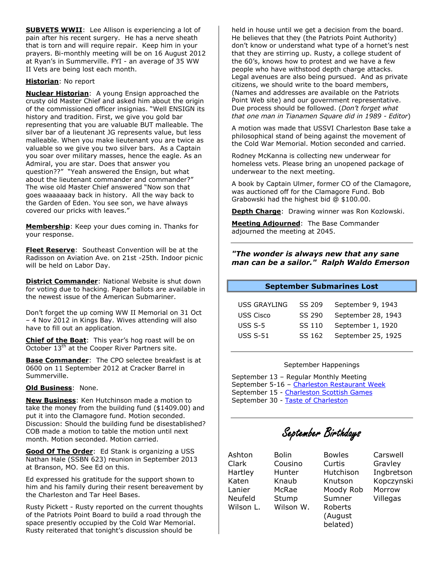**SUBVETS WWII:** Lee Allison is experiencing a lot of pain after his recent surgery. He has a nerve sheath that is torn and will require repair. Keep him in your prayers. Bi-monthly meeting will be on 16 August 2012 at Ryan's in Summerville. FYI - an average of 35 WW II Vets are being lost each month.

#### **Historian**: No report

**Nuclear Historian**: A young Ensign approached the crusty old Master Chief and asked him about the origin of the commissioned officer insignias. "Well ENSIGN its history and tradition. First, we give you gold bar representing that you are valuable BUT malleable. The silver bar of a lieutenant JG represents value, but less malleable. When you make lieutenant you are twice as valuable so we give you two silver bars. As a Captain you soar over military masses, hence the eagle. As an Admiral, you are star. Does that answer you question??" "Yeah answered the Ensign, but what about the lieutenant commander and commander?" The wise old Master Chief answered "Now son that goes waaaaaay back in history. All the way back to the Garden of Eden. You see son, we have always covered our pricks with leaves."

**Membership**: Keep your dues coming in. Thanks for your response.

**Fleet Reserve**: Southeast Convention will be at the Radisson on Aviation Ave. on 21st -25th. Indoor picnic will be held on Labor Day.

**District Commander**: National Website is shut down for voting due to hacking. Paper ballots are available in the newest issue of the American Submariner.

Don't forget the up coming WW II Memorial on 31 Oct – 4 Nov 2012 in Kings Bay. Wives attending will also have to fill out an application.

**Chief of the Boat**: This year's hog roast will be on October 13<sup>th</sup> at the Cooper River Partners site.

**Base Commander**: The CPO selectee breakfast is at 0600 on 11 September 2012 at Cracker Barrel in Summerville.

#### **Old Business**: None.

**New Business**: Ken Hutchinson made a motion to take the money from the building fund (\$1409.00) and put it into the Clamagore fund. Motion seconded. Discussion: Should the building fund be disestablished? COB made a motion to table the motion until next month. Motion seconded. Motion carried.

**Good Of The Order**: Ed Stank is organizing a USS Nathan Hale (SSBN 623) reunion in September 2013 at Branson, MO. See Ed on this.

Ed expressed his gratitude for the support shown to him and his family during their resent bereavement by the Charleston and Tar Heel Bases.

Rusty Pickett - Rusty reported on the current thoughts of the Patriots Point Board to build a road through the space presently occupied by the Cold War Memorial. Rusty reiterated that tonight's discussion should be

held in house until we get a decision from the board. He believes that they (the Patriots Point Authority) don't know or understand what type of a hornet's nest that they are stirring up. Rusty, a college student of the 60's, knows how to protest and we have a few people who have withstood depth charge attacks. Legal avenues are also being pursued. And as private citizens, we should write to the board members, (Names and addresses are available on the Patriots Point Web site) and our government representative. Due process should be followed. (*Don't forget what that one man in Tianamen Square did in 1989 - Editor*)

A motion was made that USSVI Charleston Base take a philosophical stand of being against the movement of the Cold War Memorial. Motion seconded and carried.

Rodney McKanna is collecting new underwear for homeless vets. Please bring an unopened package of underwear to the next meeting.

A book by Captain Ulmer, former CO of the Clamagore, was auctioned off for the Clamagore Fund. Bob Grabowski had the highest bid @ \$100.00.

**Depth Charge**: Drawing winner was Ron Kozlowski.

**Meeting Adjourned**: The Base Commander adjourned the meeting at 2045.

#### *"The wonder is always new that any sane man can be a sailor." Ralph Waldo Emerson*

#### **September Submarines Lost**

| <b>USS GRAYLING</b> | SS 209 | September 9, 1943  |
|---------------------|--------|--------------------|
| <b>USS Cisco</b>    | SS 290 | September 28, 1943 |
| $USS S-5$           | SS 110 | September 1, 1920  |
| <b>USS S-51</b>     | SS 162 | September 25, 1925 |

#### September Happenings

September 13 – Regular Monthly Meeting September 5-16 - [Charleston Restaurant Week](http://www.charlestonrestaurantassociation.com/charleston-restaurant-week/) September 15 - [Charleston Scottish Games](http://charlestonscots.org/)

September 30 - [Taste of Charleston](http://www.charlestonrestaurantassociation.com/taste-of-charleston/)

September Birthdays

Ashton Bolin Bowles Carswell Clark Cousino Curtis Gravley Hartley Hunter Hutchison Ingbretson Katen Knaub Knutson Kopczynski Lanier McRae Moody Rob Morrow Neufeld Stump Sumner Villegas Wilson L. Wilson W. Roberts

(August

belated)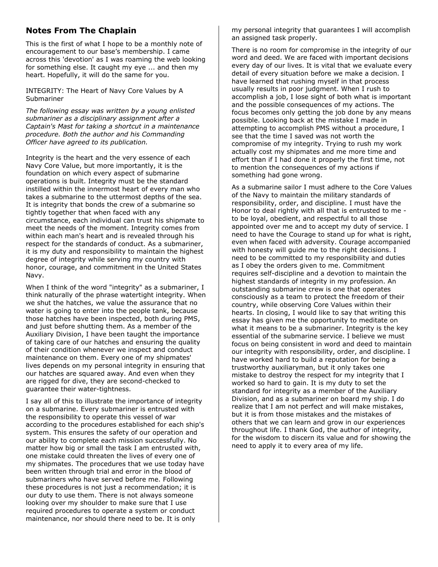# **Notes From The Chaplain**

This is the first of what I hope to be a monthly note of encouragement to our base's membership. I came across this 'devotion' as I was roaming the web looking for something else. It caught my eye ... and then my heart. Hopefully, it will do the same for you.

INTEGRITY: The Heart of Navy Core Values by A Submariner

*The following essay was written by a young enlisted submariner as a disciplinary assignment after a Captain's Mast for taking a shortcut in a maintenance procedure. Both the author and his Commanding Officer have agreed to its publication.* 

Integrity is the heart and the very essence of each Navy Core Value, but more importantly, it is the foundation on which every aspect of submarine operations is built. Integrity must be the standard instilled within the innermost heart of every man who takes a submarine to the uttermost depths of the sea. It is integrity that bonds the crew of a submarine so tightly together that when faced with any circumstance, each individual can trust his shipmate to meet the needs of the moment. Integrity comes from within each man's heart and is revealed through his respect for the standards of conduct. As a submariner, it is my duty and responsibility to maintain the highest degree of integrity while serving my country with honor, courage, and commitment in the United States Navy.

When I think of the word "integrity" as a submariner, I think naturally of the phrase watertight integrity. When we shut the hatches, we value the assurance that no water is going to enter into the people tank, because those hatches have been inspected, both during PMS, and just before shutting them. As a member of the Auxiliary Division, I have been taught the importance of taking care of our hatches and ensuring the quality of their condition whenever we inspect and conduct maintenance on them. Every one of my shipmates' lives depends on my personal integrity in ensuring that our hatches are squared away. And even when they are rigged for dive, they are second-checked to guarantee their water-tightness.

I say all of this to illustrate the importance of integrity on a submarine. Every submariner is entrusted with the responsibility to operate this vessel of war according to the procedures established for each ship's system. This ensures the safety of our operation and our ability to complete each mission successfully. No matter how big or small the task I am entrusted with, one mistake could threaten the lives of every one of my shipmates. The procedures that we use today have been written through trial and error in the blood of submariners who have served before me. Following these procedures is not just a recommendation; it is our duty to use them. There is not always someone looking over my shoulder to make sure that I use required procedures to operate a system or conduct maintenance, nor should there need to be. It is only

my personal integrity that guarantees I will accomplish an assigned task properly.

There is no room for compromise in the integrity of our word and deed. We are faced with important decisions every day of our lives. It is vital that we evaluate every detail of every situation before we make a decision. I have learned that rushing myself in that process usually results in poor judgment. When I rush to accomplish a job, I lose sight of both what is important and the possible consequences of my actions. The focus becomes only getting the job done by any means possible. Looking back at the mistake I made in attempting to accomplish PMS without a procedure, I see that the time I saved was not worth the compromise of my integrity. Trying to rush my work actually cost my shipmates and me more time and effort than if I had done it properly the first time, not to mention the consequences of my actions if something had gone wrong.

As a submarine sailor I must adhere to the Core Values of the Navy to maintain the military standards of responsibility, order, and discipline. I must have the Honor to deal rightly with all that is entrusted to me to be loyal, obedient, and respectful to all those appointed over me and to accept my duty of service. I need to have the Courage to stand up for what is right, even when faced with adversity. Courage accompanied with honesty will quide me to the right decisions. I need to be committed to my responsibility and duties as I obey the orders given to me. Commitment requires self-discipline and a devotion to maintain the highest standards of integrity in my profession. An outstanding submarine crew is one that operates consciously as a team to protect the freedom of their country, while observing Core Values within their hearts. In closing, I would like to say that writing this essay has given me the opportunity to meditate on what it means to be a submariner. Integrity is the key essential of the submarine service. I believe we must focus on being consistent in word and deed to maintain our integrity with responsibility, order, and discipline. I have worked hard to build a reputation for being a trustworthy auxiliaryman, but it only takes one mistake to destroy the respect for my integrity that I worked so hard to gain. It is my duty to set the standard for integrity as a member of the Auxiliary Division, and as a submariner on board my ship. I do realize that I am not perfect and will make mistakes, but it is from those mistakes and the mistakes of others that we can learn and grow in our experiences throughout life. I thank God, the author of integrity, for the wisdom to discern its value and for showing the need to apply it to every area of my life.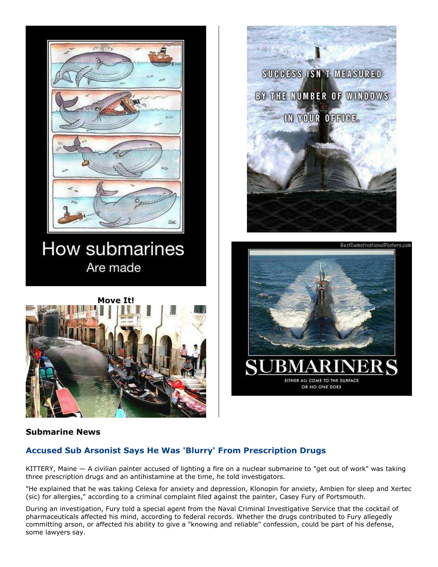



**Move It!** 







## **Submarine News**

# **Accused Sub Arsonist Says He Was 'Blurry' From Prescription Drugs**

KITTERY, Maine — A civilian painter accused of lighting a fire on a nuclear submarine to "get out of work" was taking three prescription drugs and an antihistamine at the time, he told investigators.

"He explained that he was taking Celexa for anxiety and depression, Klonopin for anxiety, Ambien for sleep and Xertec (sic) for allergies," according to a criminal complaint filed against the painter, Casey Fury of Portsmouth.

During an investigation, Fury told a special agent from the Naval Criminal Investigative Service that the cocktail of pharmaceuticals affected his mind, according to federal records. Whether the drugs contributed to Fury allegedly committing arson, or affected his ability to give a "knowing and reliable" confession, could be part of his defense, some lawyers say.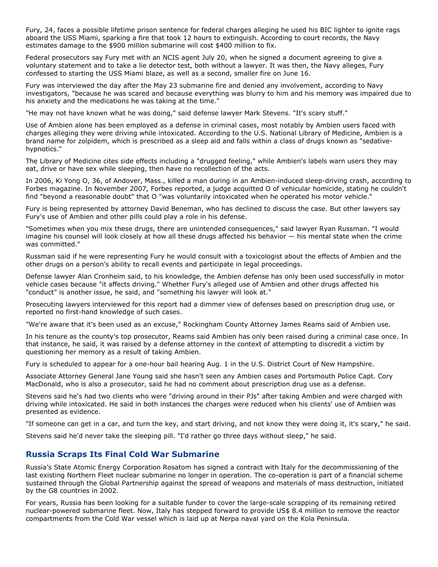Fury, 24, faces a possible lifetime prison sentence for federal charges alleging he used his BIC lighter to ignite rags aboard the USS Miami, sparking a fire that took 12 hours to extinguish. According to court records, the Navy estimates damage to the \$900 million submarine will cost \$400 million to fix.

Federal prosecutors say Fury met with an NCIS agent July 20, when he signed a document agreeing to give a voluntary statement and to take a lie detector test, both without a lawyer. It was then, the Navy alleges, Fury confessed to starting the USS Miami blaze, as well as a second, smaller fire on June 16.

Fury was interviewed the day after the May 23 submarine fire and denied any involvement, according to Navy investigators, "because he was scared and because everything was blurry to him and his memory was impaired due to his anxiety and the medications he was taking at the time."

"He may not have known what he was doing," said defense lawyer Mark Stevens. "It's scary stuff."

Use of Ambien alone has been employed as a defense in criminal cases, most notably by Ambien users faced with charges alleging they were driving while intoxicated. According to the U.S. National Library of Medicine, Ambien is a brand name for zolpidem, which is prescribed as a sleep aid and falls within a class of drugs known as "sedativehypnotics."

The Library of Medicine cites side effects including a "drugged feeling," while Ambien's labels warn users they may eat, drive or have sex while sleeping, then have no recollection of the acts.

In 2006, Ki Yong O, 36, of Andover, Mass., killed a man during in an Ambien-induced sleep-driving crash, according to Forbes magazine. In November 2007, Forbes reported, a judge acquitted O of vehicular homicide, stating he couldn't find "beyond a reasonable doubt" that O "was voluntarily intoxicated when he operated his motor vehicle."

Fury is being represented by attorney David Beneman, who has declined to discuss the case. But other lawyers say Fury's use of Ambien and other pills could play a role in his defense.

"Sometimes when you mix these drugs, there are unintended consequences," said lawyer Ryan Russman. "I would imagine his counsel will look closely at how all these drugs affected his behavior — his mental state when the crime was committed."

Russman said if he were representing Fury he would consult with a toxicologist about the effects of Ambien and the other drugs on a person's ability to recall events and participate in legal proceedings.

Defense lawyer Alan Cronheim said, to his knowledge, the Ambien defense has only been used successfully in motor vehicle cases because "it affects driving." Whether Fury's alleged use of Ambien and other drugs affected his "conduct" is another issue, he said, and "something his lawyer will look at."

Prosecuting lawyers interviewed for this report had a dimmer view of defenses based on prescription drug use, or reported no first-hand knowledge of such cases.

"We're aware that it's been used as an excuse," Rockingham County Attorney James Reams said of Ambien use.

In his tenure as the county's top prosecutor, Reams said Ambien has only been raised during a criminal case once. In that instance, he said, it was raised by a defense attorney in the context of attempting to discredit a victim by questioning her memory as a result of taking Ambien.

Fury is scheduled to appear for a one-hour bail hearing Aug. 1 in the U.S. District Court of New Hampshire.

Associate Attorney General Jane Young said she hasn't seen any Ambien cases and Portsmouth Police Capt. Cory MacDonald, who is also a prosecutor, said he had no comment about prescription drug use as a defense.

Stevens said he's had two clients who were "driving around in their PJs" after taking Ambien and were charged with driving while intoxicated. He said in both instances the charges were reduced when his clients' use of Ambien was presented as evidence.

"If someone can get in a car, and turn the key, and start driving, and not know they were doing it, it's scary," he said.

Stevens said he'd never take the sleeping pill. "I'd rather go three days without sleep," he said.

## **Russia Scraps Its Final Cold War Submarine**

Russia's State Atomic Energy Corporation Rosatom has signed a contract with Italy for the decommissioning of the last existing Northern Fleet nuclear submarine no longer in operation. The co-operation is part of a financial scheme sustained through the Global Partnership against the spread of weapons and materials of mass destruction, initiated by the G8 countries in 2002.

For years, Russia has been looking for a suitable funder to cover the large-scale scrapping of its remaining retired nuclear-powered submarine fleet. Now, Italy has stepped forward to provide US\$ 8.4 million to remove the reactor compartments from the Cold War vessel which is laid up at Nerpa naval yard on the Kola Peninsula.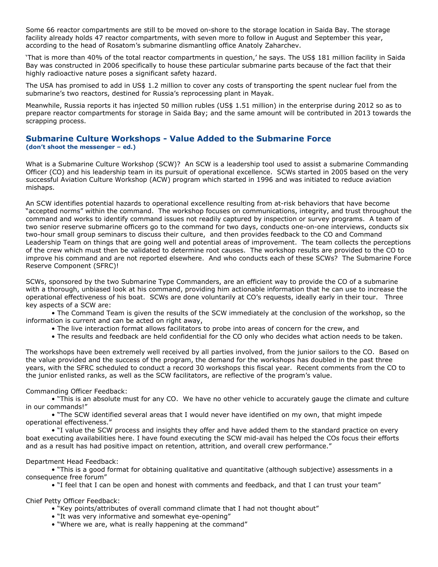Some 66 reactor compartments are still to be moved on-shore to the storage location in Saida Bay. The storage facility already holds 47 reactor compartments, with seven more to follow in August and September this year, according to the head of Rosatom's submarine dismantling office Anatoly Zaharchev.

'That is more than 40% of the total reactor compartments in question,' he says. The US\$ 181 million facility in Saida Bay was constructed in 2006 specifically to house these particular submarine parts because of the fact that their highly radioactive nature poses a significant safety hazard.

The USA has promised to add in US\$ 1.2 million to cover any costs of transporting the spent nuclear fuel from the submarine's two reactors, destined for Russia's reprocessing plant in Mayak.

Meanwhile, Russia reports it has injected 50 million rubles (US\$ 1.51 million) in the enterprise during 2012 so as to prepare reactor compartments for storage in Saida Bay; and the same amount will be contributed in 2013 towards the scrapping process.

#### **Submarine Culture Workshops - Value Added to the Submarine Force (don't shoot the messenger – ed.)**

What is a Submarine Culture Workshop (SCW)? An SCW is a leadership tool used to assist a submarine Commanding Officer (CO) and his leadership team in its pursuit of operational excellence. SCWs started in 2005 based on the very successful Aviation Culture Workshop (ACW) program which started in 1996 and was initiated to reduce aviation mishaps.

An SCW identifies potential hazards to operational excellence resulting from at-risk behaviors that have become "accepted norms" within the command. The workshop focuses on communications, integrity, and trust throughout the command and works to identify command issues not readily captured by inspection or survey programs. A team of two senior reserve submarine officers go to the command for two days, conducts one-on-one interviews, conducts six two-hour small group seminars to discuss their culture, and then provides feedback to the CO and Command Leadership Team on things that are going well and potential areas of improvement. The team collects the perceptions of the crew which must then be validated to determine root causes. The workshop results are provided to the CO to improve his command and are not reported elsewhere. And who conducts each of these SCWs? The Submarine Force Reserve Component (SFRC)!

SCWs, sponsored by the two Submarine Type Commanders, are an efficient way to provide the CO of a submarine with a thorough, unbiased look at his command, providing him actionable information that he can use to increase the operational effectiveness of his boat. SCWs are done voluntarily at CO's requests, ideally early in their tour. Three key aspects of a SCW are:

• The Command Team is given the results of the SCW immediately at the conclusion of the workshop, so the information is current and can be acted on right away,

- The live interaction format allows facilitators to probe into areas of concern for the crew, and
- The results and feedback are held confidential for the CO only who decides what action needs to be taken.

The workshops have been extremely well received by all parties involved, from the junior sailors to the CO. Based on the value provided and the success of the program, the demand for the workshops has doubled in the past three years, with the SFRC scheduled to conduct a record 30 workshops this fiscal year. Recent comments from the CO to the junior enlisted ranks, as well as the SCW facilitators, are reflective of the program's value.

Commanding Officer Feedback:

• "This is an absolute must for any CO. We have no other vehicle to accurately gauge the climate and culture in our commands!"

• "The SCW identified several areas that I would never have identified on my own, that might impede operational effectiveness."

• "I value the SCW process and insights they offer and have added them to the standard practice on every boat executing availabilities here. I have found executing the SCW mid-avail has helped the COs focus their efforts and as a result has had positive impact on retention, attrition, and overall crew performance."

#### Department Head Feedback:

• "This is a good format for obtaining qualitative and quantitative (although subjective) assessments in a consequence free forum"

• "I feel that I can be open and honest with comments and feedback, and that I can trust your team"

Chief Petty Officer Feedback:

- "Key points/attributes of overall command climate that I had not thought about"
- "It was very informative and somewhat eye-opening"
- "Where we are, what is really happening at the command"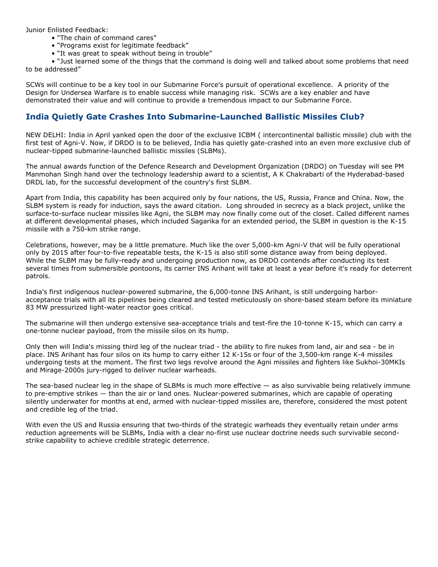Junior Enlisted Feedback:

- "The chain of command cares"
- "Programs exist for legitimate feedback"
- "It was great to speak without being in trouble"

• "Just learned some of the things that the command is doing well and talked about some problems that need to be addressed"

SCWs will continue to be a key tool in our Submarine Force's pursuit of operational excellence. A priority of the Design for Undersea Warfare is to enable success while managing risk. SCWs are a key enabler and have demonstrated their value and will continue to provide a tremendous impact to our Submarine Force.

## **India Quietly Gate Crashes Into Submarine-Launched Ballistic Missiles Club?**

NEW DELHI: India in April yanked open the door of the exclusive ICBM ( intercontinental ballistic missile) club with the first test of Agni-V. Now, if DRDO is to be believed, India has quietly gate-crashed into an even more exclusive club of nuclear-tipped submarine-launched ballistic missiles (SLBMs).

The annual awards function of the Defence Research and Development Organization (DRDO) on Tuesday will see PM Manmohan Singh hand over the technology leadership award to a scientist, A K Chakrabarti of the Hyderabad-based DRDL lab, for the successful development of the country's first SLBM.

Apart from India, this capability has been acquired only by four nations, the US, Russia, France and China. Now, the SLBM system is ready for induction, says the award citation. Long shrouded in secrecy as a black project, unlike the surface-to-surface nuclear missiles like Agni, the SLBM may now finally come out of the closet. Called different names at different developmental phases, which included Sagarika for an extended period, the SLBM in question is the K-15 missile with a 750-km strike range.

Celebrations, however, may be a little premature. Much like the over 5,000-km Agni-V that will be fully operational only by 2015 after four-to-five repeatable tests, the K-15 is also still some distance away from being deployed. While the SLBM may be fully-ready and undergoing production now, as DRDO contends after conducting its test several times from submersible pontoons, its carrier INS Arihant will take at least a year before it's ready for deterrent patrols.

India's first indigenous nuclear-powered submarine, the 6,000-tonne INS Arihant, is still undergoing harboracceptance trials with all its pipelines being cleared and tested meticulously on shore-based steam before its miniature 83 MW pressurized light-water reactor goes critical.

The submarine will then undergo extensive sea-acceptance trials and test-fire the 10-tonne K-15, which can carry a one-tonne nuclear payload, from the missile silos on its hump.

Only then will India's missing third leg of the nuclear triad - the ability to fire nukes from land, air and sea - be in place. INS Arihant has four silos on its hump to carry either 12 K-15s or four of the 3,500-km range K-4 missiles undergoing tests at the moment. The first two legs revolve around the Agni missiles and fighters like Sukhoi-30MKIs and Mirage-2000s jury-rigged to deliver nuclear warheads.

The sea-based nuclear leg in the shape of SLBMs is much more effective  $-$  as also survivable being relatively immune to pre-emptive strikes — than the air or land ones. Nuclear-powered submarines, which are capable of operating silently underwater for months at end, armed with nuclear-tipped missiles are, therefore, considered the most potent and credible leg of the triad.

With even the US and Russia ensuring that two-thirds of the strategic warheads they eventually retain under arms reduction agreements will be SLBMs, India with a clear no-first use nuclear doctrine needs such survivable secondstrike capability to achieve credible strategic deterrence.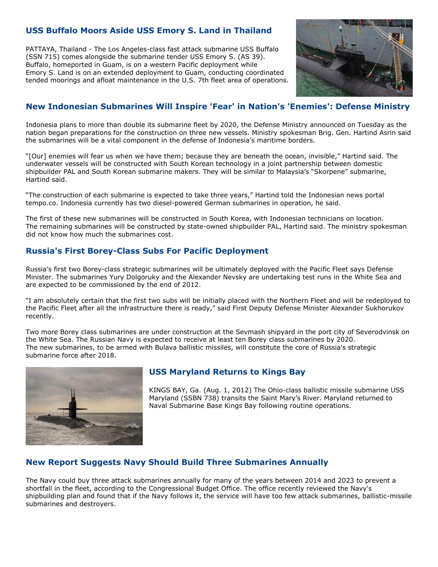# **USS Buffalo Moors Aside USS Emory S. Land in Thailand**

PATTAYA, Thailand - The Los Angeles-class fast attack submarine USS Buffalo (SSN 715) comes alongside the submarine tender USS Emory S. (AS 39). Buffalo, homeported in Guam, is on a western Pacific deployment while Emory S. Land is on an extended deployment to Guam, conducting coordinated tended moorings and afloat maintenance in the U.S. 7th fleet area of operations.



## **New Indonesian Submarines Will Inspire 'Fear' in Nation's 'Enemies': Defense Ministry**

Indonesia plans to more than double its submarine fleet by 2020, the Defense Ministry announced on Tuesday as the nation began preparations for the construction on three new vessels. Ministry spokesman Brig. Gen. Hartind Asrin said the submarines will be a vital component in the defense of Indonesia's maritime borders.

"[Our] enemies will fear us when we have them; because they are beneath the ocean, invisible," Hartind said. The underwater vessels will be constructed with South Korean technology in a joint partnership between domestic shipbuilder PAL and South Korean submarine makers. They will be similar to Malaysia's "Skorpene" submarine, Hartind said.

"The construction of each submarine is expected to take three years," Hartind told the Indonesian news portal tempo.co. Indonesia currently has two diesel-powered German submarines in operation, he said.

The first of these new submarines will be constructed in South Korea, with Indonesian technicians on location. The remaining submarines will be constructed by state-owned shipbuilder PAL, Hartind said. The ministry spokesman did not know how much the submarines cost.

## **Russia's First Borey-Class Subs For Pacific Deployment**

Russia's first two Borey-class strategic submarines will be ultimately deployed with the Pacific Fleet says Defense Minister. The submarines Yury Dolgoruky and the Alexander Nevsky are undertaking test runs in the White Sea and are expected to be commissioned by the end of 2012.

"I am absolutely certain that the first two subs will be initially placed with the Northern Fleet and will be redeployed to the Pacific Fleet after all the infrastructure there is ready," said First Deputy Defense Minister Alexander Sukhorukov recently.

Two more Borey class submarines are under construction at the Sevmash shipyard in the port city of Severodvinsk on the White Sea. The Russian Navy is expected to receive at least ten Borey class submarines by 2020. The new submarines, to be armed with Bulava ballistic missiles, will constitute the core of Russia's strategic submarine force after 2018.



## **USS Maryland Returns to Kings Bay**

KINGS BAY, Ga. (Aug. 1, 2012) The Ohio-class ballistic missile submarine USS Maryland (SSBN 738) transits the Saint Mary's River. Maryland returned to Naval Submarine Base Kings Bay following routine operations.

## **New Report Suggests Navy Should Build Three Submarines Annually**

The Navy could buy three attack submarines annually for many of the years between 2014 and 2023 to prevent a shortfall in the fleet, according to the Congressional Budget Office. The office recently reviewed the Navy's shipbuilding plan and found that if the Navy follows it, the service will have too few attack submarines, ballistic-missile submarines and destroyers.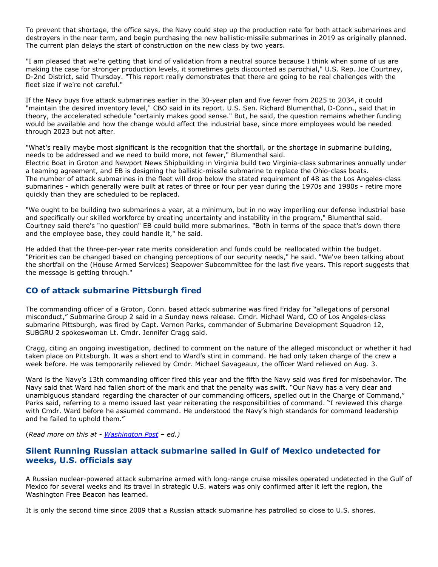To prevent that shortage, the office says, the Navy could step up the production rate for both attack submarines and destroyers in the near term, and begin purchasing the new ballistic-missile submarines in 2019 as originally planned. The current plan delays the start of construction on the new class by two years.

"I am pleased that we're getting that kind of validation from a neutral source because I think when some of us are making the case for stronger production levels, it sometimes gets discounted as parochial," U.S. Rep. Joe Courtney, D-2nd District, said Thursday. "This report really demonstrates that there are going to be real challenges with the fleet size if we're not careful."

If the Navy buys five attack submarines earlier in the 30-year plan and five fewer from 2025 to 2034, it could "maintain the desired inventory level," CBO said in its report. U.S. Sen. Richard Blumenthal, D-Conn., said that in theory, the accelerated schedule "certainly makes good sense." But, he said, the question remains whether funding would be available and how the change would affect the industrial base, since more employees would be needed through 2023 but not after.

"What's really maybe most significant is the recognition that the shortfall, or the shortage in submarine building, needs to be addressed and we need to build more, not fewer," Blumenthal said. Electric Boat in Groton and Newport News Shipbuilding in Virginia build two Virginia-class submarines annually under a teaming agreement, and EB is designing the ballistic-missile submarine to replace the Ohio-class boats. The number of attack submarines in the fleet will drop below the stated requirement of 48 as the Los Angeles-class

submarines - which generally were built at rates of three or four per year during the 1970s and 1980s - retire more quickly than they are scheduled to be replaced.

"We ought to be building two submarines a year, at a minimum, but in no way imperiling our defense industrial base and specifically our skilled workforce by creating uncertainty and instability in the program," Blumenthal said. Courtney said there's "no question" EB could build more submarines. "Both in terms of the space that's down there and the employee base, they could handle it," he said.

He added that the three-per-year rate merits consideration and funds could be reallocated within the budget. "Priorities can be changed based on changing perceptions of our security needs," he said. "We've been talking about the shortfall on the (House Armed Services) Seapower Subcommittee for the last five years. This report suggests that the message is getting through."

# **CO of attack submarine Pittsburgh fired**

The commanding officer of a Groton, Conn. based attack submarine was fired Friday for "allegations of personal misconduct," Submarine Group 2 said in a Sunday news release. Cmdr. Michael Ward, CO of Los Angeles-class submarine Pittsburgh, was fired by Capt. Vernon Parks, commander of Submarine Development Squadron 12, SUBGRU 2 spokeswoman Lt. Cmdr. Jennifer Cragg said.

Cragg, citing an ongoing investigation, declined to comment on the nature of the alleged misconduct or whether it had taken place on Pittsburgh. It was a short end to Ward's stint in command. He had only taken charge of the crew a week before. He was temporarily relieved by Cmdr. Michael Savageaux, the officer Ward relieved on Aug. 3.

Ward is the Navy's 13th commanding officer fired this year and the fifth the Navy said was fired for misbehavior. The Navy said that Ward had fallen short of the mark and that the penalty was swift. "Our Navy has a very clear and unambiguous standard regarding the character of our commanding officers, spelled out in the Charge of Command," Parks said, referring to a memo issued last year reiterating the responsibilities of command. "I reviewed this charge with Cmdr. Ward before he assumed command. He understood the Navy's high standards for command leadership and he failed to uphold them."

(*Read more on this at - [Washington Post](http://www.washingtonpost.com/blogs/the-state-of-nova/post/navy-sub-commander-from-fairfax-county-accused-of-adultery-faking-his-own-death/2012/08/14/cdd390ec-e58b-11e1-936a-b801f1abab19_blog.html) – ed.)* 

## **Silent Running Russian attack submarine sailed in Gulf of Mexico undetected for weeks, U.S. officials say**

A Russian nuclear-powered attack submarine armed with long-range cruise missiles operated undetected in the Gulf of Mexico for several weeks and its travel in strategic U.S. waters was only confirmed after it left the region, the Washington Free Beacon has learned.

It is only the second time since 2009 that a Russian attack submarine has patrolled so close to U.S. shores.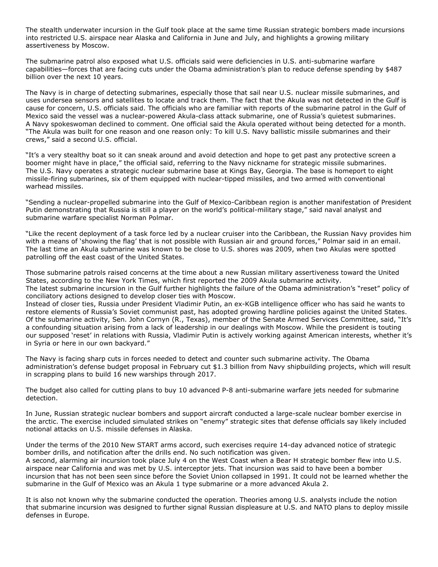The stealth underwater incursion in the Gulf took place at the same time Russian strategic bombers made incursions into restricted U.S. airspace near Alaska and California in June and July, and highlights a growing military assertiveness by Moscow.

The submarine patrol also exposed what U.S. officials said were deficiencies in U.S. anti-submarine warfare capabilities—forces that are facing cuts under the Obama administration's plan to reduce defense spending by \$487 billion over the next 10 years.

The Navy is in charge of detecting submarines, especially those that sail near U.S. nuclear missile submarines, and uses undersea sensors and satellites to locate and track them. The fact that the Akula was not detected in the Gulf is cause for concern, U.S. officials said. The officials who are familiar with reports of the submarine patrol in the Gulf of Mexico said the vessel was a nuclear-powered Akula-class attack submarine, one of Russia's quietest submarines. A Navy spokeswoman declined to comment. One official said the Akula operated without being detected for a month. "The Akula was built for one reason and one reason only: To kill U.S. Navy ballistic missile submarines and their crews," said a second U.S. official.

"It's a very stealthy boat so it can sneak around and avoid detection and hope to get past any protective screen a boomer might have in place," the official said, referring to the Navy nickname for strategic missile submarines. The U.S. Navy operates a strategic nuclear submarine base at Kings Bay, Georgia. The base is homeport to eight missile-firing submarines, six of them equipped with nuclear-tipped missiles, and two armed with conventional warhead missiles.

"Sending a nuclear-propelled submarine into the Gulf of Mexico-Caribbean region is another manifestation of President Putin demonstrating that Russia is still a player on the world's political-military stage," said naval analyst and submarine warfare specialist Norman Polmar.

"Like the recent deployment of a task force led by a nuclear cruiser into the Caribbean, the Russian Navy provides him with a means of 'showing the flag' that is not possible with Russian air and ground forces," Polmar said in an email. The last time an Akula submarine was known to be close to U.S. shores was 2009, when two Akulas were spotted patrolling off the east coast of the United States.

Those submarine patrols raised concerns at the time about a new Russian military assertiveness toward the United States, according to the New York Times, which first reported the 2009 Akula submarine activity. The latest submarine incursion in the Gulf further highlights the failure of the Obama administration's "reset" policy of conciliatory actions designed to develop closer ties with Moscow.

Instead of closer ties, Russia under President Vladimir Putin, an ex-KGB intelligence officer who has said he wants to restore elements of Russia's Soviet communist past, has adopted growing hardline policies against the United States. Of the submarine activity, Sen. John Cornyn (R., Texas), member of the Senate Armed Services Committee, said, "It's a confounding situation arising from a lack of leadership in our dealings with Moscow. While the president is touting our supposed 'reset' in relations with Russia, Vladimir Putin is actively working against American interests, whether it's in Syria or here in our own backyard."

The Navy is facing sharp cuts in forces needed to detect and counter such submarine activity. The Obama administration's defense budget proposal in February cut \$1.3 billion from Navy shipbuilding projects, which will result in scrapping plans to build 16 new warships through 2017.

The budget also called for cutting plans to buy 10 advanced P-8 anti-submarine warfare jets needed for submarine detection.

In June, Russian strategic nuclear bombers and support aircraft conducted a large-scale nuclear bomber exercise in the arctic. The exercise included simulated strikes on "enemy" strategic sites that defense officials say likely included notional attacks on U.S. missile defenses in Alaska.

Under the terms of the 2010 New START arms accord, such exercises require 14-day advanced notice of strategic bomber drills, and notification after the drills end. No such notification was given.

A second, alarming air incursion took place July 4 on the West Coast when a Bear H strategic bomber flew into U.S. airspace near California and was met by U.S. interceptor jets. That incursion was said to have been a bomber incursion that has not been seen since before the Soviet Union collapsed in 1991. It could not be learned whether the submarine in the Gulf of Mexico was an Akula 1 type submarine or a more advanced Akula 2.

It is also not known why the submarine conducted the operation. Theories among U.S. analysts include the notion that submarine incursion was designed to further signal Russian displeasure at U.S. and NATO plans to deploy missile defenses in Europe.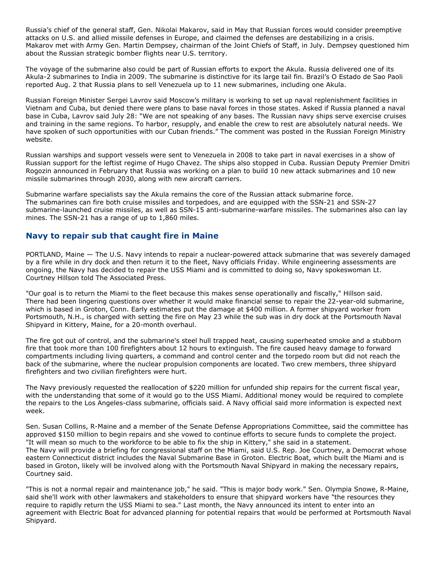Russia's chief of the general staff, Gen. Nikolai Makarov, said in May that Russian forces would consider preemptive attacks on U.S. and allied missile defenses in Europe, and claimed the defenses are destabilizing in a crisis. Makarov met with Army Gen. Martin Dempsey, chairman of the Joint Chiefs of Staff, in July. Dempsey questioned him about the Russian strategic bomber flights near U.S. territory.

The voyage of the submarine also could be part of Russian efforts to export the Akula. Russia delivered one of its Akula-2 submarines to India in 2009. The submarine is distinctive for its large tail fin. Brazil's O Estado de Sao Paoli reported Aug. 2 that Russia plans to sell Venezuela up to 11 new submarines, including one Akula.

Russian Foreign Minister Sergei Lavrov said Moscow's military is working to set up naval replenishment facilities in Vietnam and Cuba, but denied there were plans to base naval forces in those states. Asked if Russia planned a naval base in Cuba, Lavrov said July 28: "We are not speaking of any bases. The Russian navy ships serve exercise cruises and training in the same regions. To harbor, resupply, and enable the crew to rest are absolutely natural needs. We have spoken of such opportunities with our Cuban friends." The comment was posted in the Russian Foreign Ministry website.

Russian warships and support vessels were sent to Venezuela in 2008 to take part in naval exercises in a show of Russian support for the leftist regime of Hugo Chavez. The ships also stopped in Cuba. Russian Deputy Premier Dmitri Rogozin announced in February that Russia was working on a plan to build 10 new attack submarines and 10 new missile submarines through 2030, along with new aircraft carriers.

Submarine warfare specialists say the Akula remains the core of the Russian attack submarine force. The submarines can fire both cruise missiles and torpedoes, and are equipped with the SSN-21 and SSN-27 submarine-launched cruise missiles, as well as SSN-15 anti-submarine-warfare missiles. The submarines also can lay mines. The SSN-21 has a range of up to 1,860 miles.

## **Navy to repair sub that caught fire in Maine**

PORTLAND, Maine — The U.S. Navy intends to repair a nuclear-powered attack submarine that was severely damaged by a fire while in dry dock and then return it to the fleet, Navy officials Friday. While engineering assessments are ongoing, the Navy has decided to repair the USS Miami and is committed to doing so, Navy spokeswoman Lt. Courtney Hillson told The Associated Press.

"Our goal is to return the Miami to the fleet because this makes sense operationally and fiscally," Hillson said. There had been lingering questions over whether it would make financial sense to repair the 22-year-old submarine, which is based in Groton, Conn. Early estimates put the damage at \$400 million. A former shipyard worker from Portsmouth, N.H., is charged with setting the fire on May 23 while the sub was in dry dock at the Portsmouth Naval Shipyard in Kittery, Maine, for a 20-month overhaul.

The fire got out of control, and the submarine's steel hull trapped heat, causing superheated smoke and a stubborn fire that took more than 100 firefighters about 12 hours to extinguish. The fire caused heavy damage to forward compartments including living quarters, a command and control center and the torpedo room but did not reach the back of the submarine, where the nuclear propulsion components are located. Two crew members, three shipyard firefighters and two civilian firefighters were hurt.

The Navy previously requested the reallocation of \$220 million for unfunded ship repairs for the current fiscal year, with the understanding that some of it would go to the USS Miami. Additional money would be required to complete the repairs to the Los Angeles-class submarine, officials said. A Navy official said more information is expected next week.

Sen. Susan Collins, R-Maine and a member of the Senate Defense Appropriations Committee, said the committee has approved \$150 million to begin repairs and she vowed to continue efforts to secure funds to complete the project. "It will mean so much to the workforce to be able to fix the ship in Kittery," she said in a statement. The Navy will provide a briefing for congressional staff on the Miami, said U.S. Rep. Joe Courtney, a Democrat whose eastern Connecticut district includes the Naval Submarine Base in Groton. Electric Boat, which built the Miami and is based in Groton, likely will be involved along with the Portsmouth Naval Shipyard in making the necessary repairs, Courtney said.

"This is not a normal repair and maintenance job," he said. "This is major body work." Sen. Olympia Snowe, R-Maine, said she'll work with other lawmakers and stakeholders to ensure that shipyard workers have "the resources they require to rapidly return the USS Miami to sea." Last month, the Navy announced its intent to enter into an agreement with Electric Boat for advanced planning for potential repairs that would be performed at Portsmouth Naval Shipyard.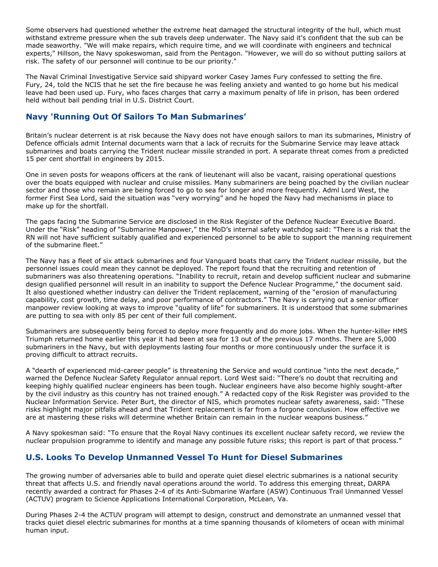Some observers had questioned whether the extreme heat damaged the structural integrity of the hull, which must withstand extreme pressure when the sub travels deep underwater. The Navy said it's confident that the sub can be made seaworthy. "We will make repairs, which require time, and we will coordinate with engineers and technical experts," Hillson, the Navy spokeswoman, said from the Pentagon. "However, we will do so without putting sailors at risk. The safety of our personnel will continue to be our priority."

The Naval Criminal Investigative Service said shipyard worker Casey James Fury confessed to setting the fire. Fury, 24, told the NCIS that he set the fire because he was feeling anxiety and wanted to go home but his medical leave had been used up. Fury, who faces charges that carry a maximum penalty of life in prison, has been ordered held without bail pending trial in U.S. District Court.

## **Navy 'Running Out Of Sailors To Man Submarines'**

Britain's nuclear deterrent is at risk because the Navy does not have enough sailors to man its submarines, Ministry of Defence officials admit Internal documents warn that a lack of recruits for the Submarine Service may leave attack submarines and boats carrying the Trident nuclear missile stranded in port. A separate threat comes from a predicted 15 per cent shortfall in engineers by 2015.

One in seven posts for weapons officers at the rank of lieutenant will also be vacant, raising operational questions over the boats equipped with nuclear and cruise missiles. Many submariners are being poached by the civilian nuclear sector and those who remain are being forced to go to sea for longer and more frequently. Adml Lord West, the former First Sea Lord, said the situation was "very worrying" and he hoped the Navy had mechanisms in place to make up for the shortfall.

The gaps facing the Submarine Service are disclosed in the Risk Register of the Defence Nuclear Executive Board. Under the "Risk" heading of "Submarine Manpower," the MoD's internal safety watchdog said: "There is a risk that the RN will not have sufficient suitably qualified and experienced personnel to be able to support the manning requirement of the submarine fleet."

The Navy has a fleet of six attack submarines and four Vanguard boats that carry the Trident nuclear missile, but the personnel issues could mean they cannot be deployed. The report found that the recruiting and retention of submariners was also threatening operations. "Inability to recruit, retain and develop sufficient nuclear and submarine design qualified personnel will result in an inability to support the Defence Nuclear Programme," the document said. It also questioned whether industry can deliver the Trident replacement, warning of the "erosion of manufacturing capability, cost growth, time delay, and poor performance of contractors." The Navy is carrying out a senior officer manpower review looking at ways to improve "quality of life" for submariners. It is understood that some submarines are putting to sea with only 85 per cent of their full complement.

Submariners are subsequently being forced to deploy more frequently and do more jobs. When the hunter-killer HMS Triumph returned home earlier this year it had been at sea for 13 out of the previous 17 months. There are 5,000 submariners in the Navy, but with deployments lasting four months or more continuously under the surface it is proving difficult to attract recruits.

A "dearth of experienced mid-career people" is threatening the Service and would continue "into the next decade," warned the Defence Nuclear Safety Regulator annual report. Lord West said: "There's no doubt that recruiting and keeping highly qualified nuclear engineers has been tough. Nuclear engineers have also become highly sought-after by the civil industry as this country has not trained enough." A redacted copy of the Risk Register was provided to the Nuclear Information Service. Peter Burt, the director of NIS, which promotes nuclear safety awareness, said: "These risks highlight major pitfalls ahead and that Trident replacement is far from a forgone conclusion. How effective we are at mastering these risks will determine whether Britain can remain in the nuclear weapons business."

A Navy spokesman said: "To ensure that the Royal Navy continues its excellent nuclear safety record, we review the nuclear propulsion programme to identify and manage any possible future risks; this report is part of that process."

## **U.S. Looks To Develop Unmanned Vessel To Hunt for Diesel Submarines**

The growing number of adversaries able to build and operate quiet diesel electric submarines is a national security threat that affects U.S. and friendly naval operations around the world. To address this emerging threat, DARPA recently awarded a contract for Phases 2-4 of its Anti-Submarine Warfare (ASW) Continuous Trail Unmanned Vessel (ACTUV) program to Science Applications International Corporation, McLean, Va.

During Phases 2-4 the ACTUV program will attempt to design, construct and demonstrate an unmanned vessel that tracks quiet diesel electric submarines for months at a time spanning thousands of kilometers of ocean with minimal human input.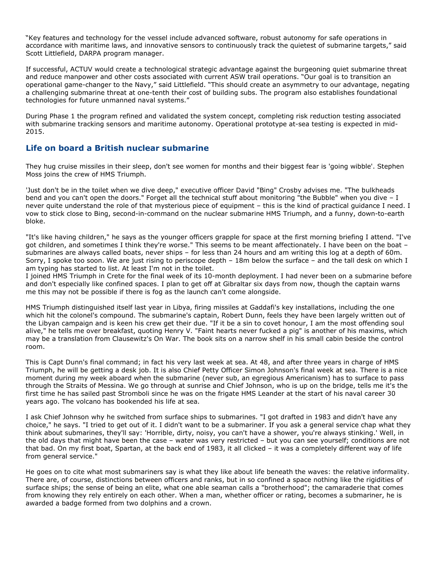"Key features and technology for the vessel include advanced software, robust autonomy for safe operations in accordance with maritime laws, and innovative sensors to continuously track the quietest of submarine targets," said Scott Littlefield, DARPA program manager.

If successful, ACTUV would create a technological strategic advantage against the burgeoning quiet submarine threat and reduce manpower and other costs associated with current ASW trail operations. "Our goal is to transition an operational game-changer to the Navy," said Littlefield. "This should create an asymmetry to our advantage, negating a challenging submarine threat at one-tenth their cost of building subs. The program also establishes foundational technologies for future unmanned naval systems."

During Phase 1 the program refined and validated the system concept, completing risk reduction testing associated with submarine tracking sensors and maritime autonomy. Operational prototype at-sea testing is expected in mid-2015.

## **Life on board a British nuclear submarine**

They hug cruise missiles in their sleep, don't see women for months and their biggest fear is 'going wibble'. Stephen Moss joins the crew of HMS Triumph.

'Just don't be in the toilet when we dive deep," executive officer David "Bing" Crosby advises me. "The bulkheads bend and you can't open the doors." Forget all the technical stuff about monitoring "the Bubble" when you dive – I never quite understand the role of that mysterious piece of equipment – this is the kind of practical guidance I need. I vow to stick close to Bing, second-in-command on the nuclear submarine HMS Triumph, and a funny, down-to-earth bloke.

"It's like having children," he says as the younger officers grapple for space at the first morning briefing I attend. "I've got children, and sometimes I think they're worse." This seems to be meant affectionately. I have been on the boat – submarines are always called boats, never ships – for less than 24 hours and am writing this log at a depth of 60m. Sorry, I spoke too soon. We are just rising to periscope depth – 18m below the surface – and the tall desk on which I am typing has started to list. At least I'm not in the toilet.

I joined HMS Triumph in Crete for the final week of its 10-month deployment. I had never been on a submarine before and don't especially like confined spaces. I plan to get off at Gibraltar six days from now, though the captain warns me this may not be possible if there is fog as the launch can't come alongside.

HMS Triumph distinguished itself last year in Libya, firing missiles at Gaddafi's key installations, including the one which hit the colonel's compound. The submarine's captain, Robert Dunn, feels they have been largely written out of the Libyan campaign and is keen his crew get their due. "If it be a sin to covet honour, I am the most offending soul alive," he tells me over breakfast, quoting Henry V. "Faint hearts never fucked a pig" is another of his maxims, which may be a translation from Clausewitz's On War. The book sits on a narrow shelf in his small cabin beside the control room.

This is Capt Dunn's final command; in fact his very last week at sea. At 48, and after three years in charge of HMS Triumph, he will be getting a desk job. It is also Chief Petty Officer Simon Johnson's final week at sea. There is a nice moment during my week aboard when the submarine (never sub, an egregious Americanism) has to surface to pass through the Straits of Messina. We go through at sunrise and Chief Johnson, who is up on the bridge, tells me it's the first time he has sailed past Stromboli since he was on the frigate HMS Leander at the start of his naval career 30 years ago. The volcano has bookended his life at sea.

I ask Chief Johnson why he switched from surface ships to submarines. "I got drafted in 1983 and didn't have any choice," he says. "I tried to get out of it. I didn't want to be a submariner. If you ask a general service chap what they think about submarines, they'll say: 'Horrible, dirty, noisy, you can't have a shower, you're always stinking.' Well, in the old days that might have been the case – water was very restricted – but you can see yourself; conditions are not that bad. On my first boat, Spartan, at the back end of 1983, it all clicked – it was a completely different way of life from general service."

He goes on to cite what most submariners say is what they like about life beneath the waves: the relative informality. There are, of course, distinctions between officers and ranks, but in so confined a space nothing like the rigidities of surface ships; the sense of being an elite, what one able seaman calls a "brotherhood"; the camaraderie that comes from knowing they rely entirely on each other. When a man, whether officer or rating, becomes a submariner, he is awarded a badge formed from two dolphins and a crown.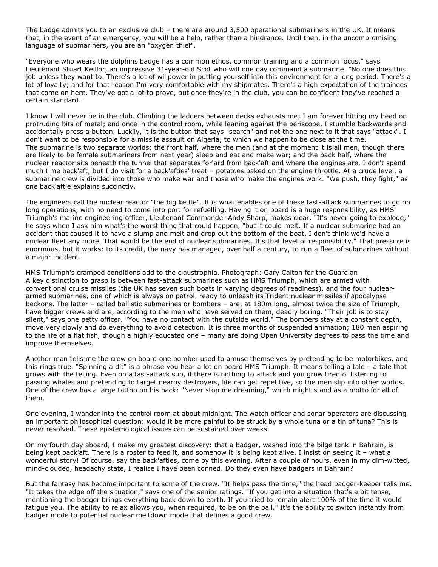The badge admits you to an exclusive club – there are around 3,500 operational submariners in the UK. It means that, in the event of an emergency, you will be a help, rather than a hindrance. Until then, in the uncompromising language of submariners, you are an "oxygen thief".

"Everyone who wears the dolphins badge has a common ethos, common training and a common focus," says Lieutenant Stuart Keillor, an impressive 31-year-old Scot who will one day command a submarine. "No one does this job unless they want to. There's a lot of willpower in putting yourself into this environment for a long period. There's a lot of loyalty; and for that reason I'm very comfortable with my shipmates. There's a high expectation of the trainees that come on here. They've got a lot to prove, but once they're in the club, you can be confident they've reached a certain standard."

I know I will never be in the club. Climbing the ladders between decks exhausts me; I am forever hitting my head on protruding bits of metal; and once in the control room, while leaning against the periscope, I stumble backwards and accidentally press a button. Luckily, it is the button that says "search" and not the one next to it that says "attack". I don't want to be responsible for a missile assault on Algeria, to which we happen to be close at the time. The submarine is two separate worlds: the front half, where the men (and at the moment it is all men, though there are likely to be female submariners from next year) sleep and eat and make war; and the back half, where the nuclear reactor sits beneath the tunnel that separates for'ard from back'aft and where the engines are. I don't spend much time back'aft, but I do visit for a back'afties' treat – potatoes baked on the engine throttle. At a crude level, a submarine crew is divided into those who make war and those who make the engines work. "We push, they fight," as one back'aftie explains succinctly.

The engineers call the nuclear reactor "the big kettle". It is what enables one of these fast-attack submarines to go on long operations, with no need to come into port for refuelling. Having it on board is a huge responsibility, as HMS Triumph's marine engineering officer, Lieutenant Commander Andy Sharp, makes clear. "It's never going to explode," he says when I ask him what's the worst thing that could happen, "but it could melt. If a nuclear submarine had an accident that caused it to have a slump and melt and drop out the bottom of the boat, I don't think we'd have a nuclear fleet any more. That would be the end of nuclear submarines. It's that level of responsibility." That pressure is enormous, but it works: to its credit, the navy has managed, over half a century, to run a fleet of submarines without a major incident.

HMS Triumph's cramped conditions add to the claustrophia. Photograph: Gary Calton for the Guardian A key distinction to grasp is between fast-attack submarines such as HMS Triumph, which are armed with conventional cruise missiles (the UK has seven such boats in varying degrees of readiness), and the four nucleararmed submarines, one of which is always on patrol, ready to unleash its Trident nuclear missiles if apocalypse beckons. The latter – called ballistic submarines or bombers – are, at 180m long, almost twice the size of Triumph, have bigger crews and are, according to the men who have served on them, deadly boring. "Their job is to stay silent," says one petty officer. "You have no contact with the outside world." The bombers stay at a constant depth, move very slowly and do everything to avoid detection. It is three months of suspended animation; 180 men aspiring to the life of a flat fish, though a highly educated one – many are doing Open University degrees to pass the time and improve themselves.

Another man tells me the crew on board one bomber used to amuse themselves by pretending to be motorbikes, and this rings true. "Spinning a dit" is a phrase you hear a lot on board HMS Triumph. It means telling a tale – a tale that grows with the telling. Even on a fast-attack sub, if there is nothing to attack and you grow tired of listening to passing whales and pretending to target nearby destroyers, life can get repetitive, so the men slip into other worlds. One of the crew has a large tattoo on his back: "Never stop me dreaming," which might stand as a motto for all of them.

One evening, I wander into the control room at about midnight. The watch officer and sonar operators are discussing an important philosophical question: would it be more painful to be struck by a whole tuna or a tin of tuna? This is never resolved. These epistemological issues can be sustained over weeks.

On my fourth day aboard, I make my greatest discovery: that a badger, washed into the bilge tank in Bahrain, is being kept back'aft. There is a roster to feed it, and somehow it is being kept alive. I insist on seeing it - what a wonderful story! Of course, say the back'afties, come by this evening. After a couple of hours, even in my dim-witted, mind-clouded, headachy state, I realise I have been conned. Do they even have badgers in Bahrain?

But the fantasy has become important to some of the crew. "It helps pass the time," the head badger-keeper tells me. "It takes the edge off the situation," says one of the senior ratings. "If you get into a situation that's a bit tense, mentioning the badger brings everything back down to earth. If you tried to remain alert 100% of the time it would fatigue you. The ability to relax allows you, when required, to be on the ball." It's the ability to switch instantly from badger mode to potential nuclear meltdown mode that defines a good crew.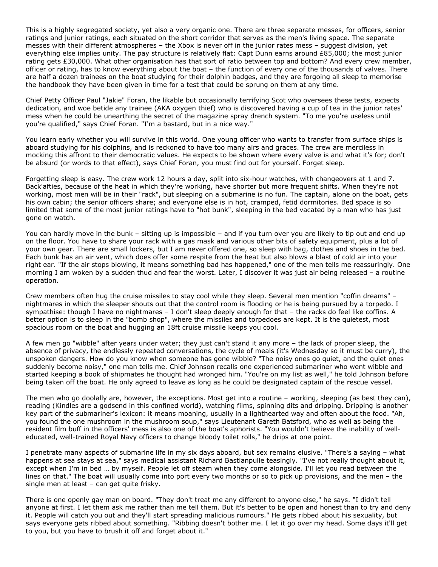This is a highly segregated society, yet also a very organic one. There are three separate messes, for officers, senior ratings and junior ratings, each situated on the short corridor that serves as the men's living space. The separate messes with their different atmospheres – the Xbox is never off in the junior rates mess – suggest division, yet everything else implies unity. The pay structure is relatively flat: Capt Dunn earns around £85,000; the most junior rating gets £30,000. What other organisation has that sort of ratio between top and bottom? And every crew member, officer or rating, has to know everything about the boat – the function of every one of the thousands of valves. There are half a dozen trainees on the boat studying for their dolphin badges, and they are forgoing all sleep to memorise the handbook they have been given in time for a test that could be sprung on them at any time.

Chief Petty Officer Paul "Jakie" Foran, the likable but occasionally terrifying Scot who oversees these tests, expects dedication, and woe betide any trainee (AKA oxygen thief) who is discovered having a cup of tea in the junior rates' mess when he could be unearthing the secret of the magazine spray drench system. "To me you're useless until you're qualified," says Chief Foran. "I'm a bastard, but in a nice way."

You learn early whether you will survive in this world. One young officer who wants to transfer from surface ships is aboard studying for his dolphins, and is reckoned to have too many airs and graces. The crew are merciless in mocking this affront to their democratic values. He expects to be shown where every valve is and what it's for; don't be absurd (or words to that effect), says Chief Foran, you must find out for yourself. Forget sleep.

Forgetting sleep is easy. The crew work 12 hours a day, split into six-hour watches, with changeovers at 1 and 7. Back'afties, because of the heat in which they're working, have shorter but more frequent shifts. When they're not working, most men will be in their "rack", but sleeping on a submarine is no fun. The captain, alone on the boat, gets his own cabin; the senior officers share; and everyone else is in hot, cramped, fetid dormitories. Bed space is so limited that some of the most junior ratings have to "hot bunk", sleeping in the bed vacated by a man who has just gone on watch.

You can hardly move in the bunk – sitting up is impossible – and if you turn over you are likely to tip out and end up on the floor. You have to share your rack with a gas mask and various other bits of safety equipment, plus a lot of your own gear. There are small lockers, but I am never offered one, so sleep with bag, clothes and shoes in the bed. Each bunk has an air vent, which does offer some respite from the heat but also blows a blast of cold air into your right ear. "If the air stops blowing, it means something bad has happened," one of the men tells me reassuringly. One morning I am woken by a sudden thud and fear the worst. Later, I discover it was just air being released – a routine operation.

Crew members often hug the cruise missiles to stay cool while they sleep. Several men mention "coffin dreams" – nightmares in which the sleeper shouts out that the control room is flooding or he is being pursued by a torpedo. I sympathise: though I have no nightmares – I don't sleep deeply enough for that – the racks do feel like coffins. A better option is to sleep in the "bomb shop", where the missiles and torpedoes are kept. It is the quietest, most spacious room on the boat and hugging an 18ft cruise missile keeps you cool.

A few men go "wibble" after years under water; they just can't stand it any more – the lack of proper sleep, the absence of privacy, the endlessly repeated conversations, the cycle of meals (it's Wednesday so it must be curry), the unspoken dangers. How do you know when someone has gone wibble? "The noisy ones go quiet, and the quiet ones suddenly become noisy," one man tells me. Chief Johnson recalls one experienced submariner who went wibble and started keeping a book of shipmates he thought had wronged him. "You're on my list as well," he told Johnson before being taken off the boat. He only agreed to leave as long as he could be designated captain of the rescue vessel.

The men who go doolally are, however, the exceptions. Most get into a routine – working, sleeping (as best they can), reading (Kindles are a godsend in this confined world), watching films, spinning dits and dripping. Dripping is another key part of the submariner's lexicon: it means moaning, usually in a lighthearted way and often about the food. "Ah, you found the one mushroom in the mushroom soup," says Lieutenant Gareth Batsford, who as well as being the resident film buff in the officers' mess is also one of the boat's aphorists. "You wouldn't believe the inability of welleducated, well-trained Royal Navy officers to change bloody toilet rolls," he drips at one point.

I penetrate many aspects of submarine life in my six days aboard, but sex remains elusive. "There's a saying – what happens at sea stays at sea," says medical assistant Richard Bastianpulle teasingly. "I've not really thought about it, except when I'm in bed … by myself. People let off steam when they come alongside. I'll let you read between the lines on that." The boat will usually come into port every two months or so to pick up provisions, and the men – the single men at least – can get quite frisky.

There is one openly gay man on board. "They don't treat me any different to anyone else," he says. "I didn't tell anyone at first. I let them ask me rather than me tell them. But it's better to be open and honest than to try and deny it. People will catch you out and they'll start spreading malicious rumours." He gets ribbed about his sexuality, but says everyone gets ribbed about something. "Ribbing doesn't bother me. I let it go over my head. Some days it'll get to you, but you have to brush it off and forget about it."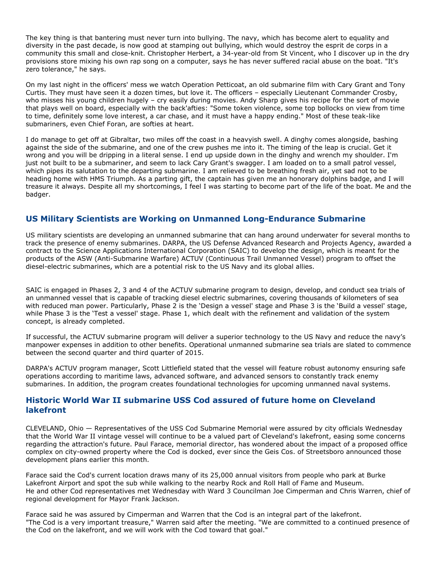The key thing is that bantering must never turn into bullying. The navy, which has become alert to equality and diversity in the past decade, is now good at stamping out bullying, which would destroy the esprit de corps in a community this small and close-knit. Christopher Herbert, a 34-year-old from St Vincent, who I discover up in the dry provisions store mixing his own rap song on a computer, says he has never suffered racial abuse on the boat. "It's zero tolerance," he says.

On my last night in the officers' mess we watch Operation Petticoat, an old submarine film with Cary Grant and Tony Curtis. They must have seen it a dozen times, but love it. The officers – especially Lieutenant Commander Crosby, who misses his young children hugely – cry easily during movies. Andy Sharp gives his recipe for the sort of movie that plays well on board, especially with the back'afties: "Some token violence, some top bollocks on view from time to time, definitely some love interest, a car chase, and it must have a happy ending." Most of these teak-like submariners, even Chief Foran, are softies at heart.

I do manage to get off at Gibraltar, two miles off the coast in a heavyish swell. A dinghy comes alongside, bashing against the side of the submarine, and one of the crew pushes me into it. The timing of the leap is crucial. Get it wrong and you will be dripping in a literal sense. I end up upside down in the dinghy and wrench my shoulder. I'm just not built to be a submariner, and seem to lack Cary Grant's swagger. I am loaded on to a small patrol vessel, which pipes its salutation to the departing submarine. I am relieved to be breathing fresh air, yet sad not to be heading home with HMS Triumph. As a parting gift, the captain has given me an honorary dolphins badge, and I will treasure it always. Despite all my shortcomings, I feel I was starting to become part of the life of the boat. Me and the badger.

## **US Military Scientists are Working on Unmanned Long-Endurance Submarine**

US military scientists are developing an unmanned submarine that can hang around underwater for several months to track the presence of enemy submarines. DARPA, the US Defense Advanced Research and Projects Agency, awarded a contract to the Science Applications International Corporation (SAIC) to develop the design, which is meant for the products of the ASW (Anti-Submarine Warfare) ACTUV (Continuous Trail Unmanned Vessel) program to offset the diesel-electric submarines, which are a potential risk to the US Navy and its global allies.

SAIC is engaged in Phases 2, 3 and 4 of the ACTUV submarine program to design, develop, and conduct sea trials of an unmanned vessel that is capable of tracking diesel electric submarines, covering thousands of kilometers of sea with reduced man power. Particularly, Phase 2 is the 'Design a vessel' stage and Phase 3 is the 'Build a vessel' stage, while Phase 3 is the 'Test a vessel' stage. Phase 1, which dealt with the refinement and validation of the system concept, is already completed.

If successful, the ACTUV submarine program will deliver a superior technology to the US Navy and reduce the navy's manpower expenses in addition to other benefits. Operational unmanned submarine sea trials are slated to commence between the second quarter and third quarter of 2015.

DARPA's ACTUV program manager, Scott Littlefield stated that the vessel will feature robust autonomy ensuring safe operations according to maritime laws, advanced software, and advanced sensors to constantly track enemy submarines. In addition, the program creates foundational technologies for upcoming unmanned naval systems.

## **Historic World War II submarine USS Cod assured of future home on Cleveland lakefront**

CLEVELAND, Ohio — Representatives of the USS Cod Submarine Memorial were assured by city officials Wednesday that the World War II vintage vessel will continue to be a valued part of Cleveland's lakefront, easing some concerns regarding the attraction's future. Paul Farace, memorial director, has wondered about the impact of a proposed office complex on city-owned property where the Cod is docked, ever since the Geis Cos. of Streetsboro announced those development plans earlier this month.

Farace said the Cod's current location draws many of its 25,000 annual visitors from people who park at Burke Lakefront Airport and spot the sub while walking to the nearby Rock and Roll Hall of Fame and Museum. He and other Cod representatives met Wednesday with Ward 3 Councilman Joe Cimperman and Chris Warren, chief of regional development for Mayor Frank Jackson.

Farace said he was assured by Cimperman and Warren that the Cod is an integral part of the lakefront. "The Cod is a very important treasure," Warren said after the meeting. "We are committed to a continued presence of the Cod on the lakefront, and we will work with the Cod toward that goal."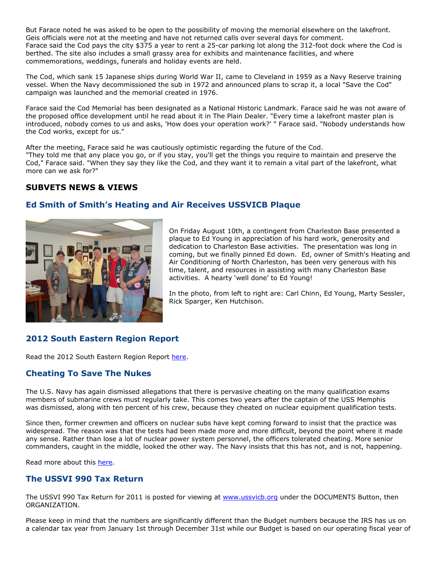But Farace noted he was asked to be open to the possibility of moving the memorial elsewhere on the lakefront. Geis officials were not at the meeting and have not returned calls over several days for comment. Farace said the Cod pays the city \$375 a year to rent a 25-car parking lot along the 312-foot dock where the Cod is berthed. The site also includes a small grassy area for exhibits and maintenance facilities, and where commemorations, weddings, funerals and holiday events are held.

The Cod, which sank 15 Japanese ships during World War II, came to Cleveland in 1959 as a Navy Reserve training vessel. When the Navy decommissioned the sub in 1972 and announced plans to scrap it, a local "Save the Cod" campaign was launched and the memorial created in 1976.

Farace said the Cod Memorial has been designated as a National Historic Landmark. Farace said he was not aware of the proposed office development until he read about it in The Plain Dealer. "Every time a lakefront master plan is introduced, nobody comes to us and asks, 'How does your operation work?' " Farace said. "Nobody understands how the Cod works, except for us."

After the meeting, Farace said he was cautiously optimistic regarding the future of the Cod. "They told me that any place you go, or if you stay, you'll get the things you require to maintain and preserve the Cod," Farace said. "When they say they like the Cod, and they want it to remain a vital part of the lakefront, what more can we ask for?"

## **SUBVETS NEWS & VIEWS**

## **Ed Smith of Smith's Heating and Air Receives USSVICB Plaque**



On Friday August 10th, a contingent from Charleston Base presented a plaque to Ed Young in appreciation of his hard work, generosity and dedication to Charleston Base activities. The presentation was long in coming, but we finally pinned Ed down. Ed, owner of Smith's Heating and Air Conditioning of North Charleston, has been very generous with his time, talent, and resources in assisting with many Charleston Base activities. A hearty 'well done' to Ed Young!

In the photo, from left to right are: Carl Chinn, Ed Young, Marty Sessler, Rick Sparger, Ken Hutchison.

# **2012 South Eastern Region Report**

Read the 2012 South Eastern Region Report [here](http://www.datazap.net/sites/stevenmorawiec/Subvets/2012%20USSVI%20SOUTHEAST%20REGION%20BULLETIN.pdf).

## **Cheating To Save The Nukes**

The U.S. Navy has again dismissed allegations that there is pervasive cheating on the many qualification exams members of submarine crews must regularly take. This comes two years after the captain of the USS Memphis was dismissed, along with ten percent of his crew, because they cheated on nuclear equipment qualification tests.

Since then, former crewmen and officers on nuclear subs have kept coming forward to insist that the practice was widespread. The reason was that the tests had been made more and more difficult, beyond the point where it made any sense. Rather than lose a lot of nuclear power system personnel, the officers tolerated cheating. More senior commanders, caught in the middle, looked the other way. The Navy insists that this has not, and is not, happening.

Read more about this [here](http://www.strategypage.com/htmw/htlead/articles/20120828.aspx).

## **The USSVI 990 Tax Return**

The USSVI 990 Tax Return for 2011 is posted for viewing at [www.ussvicb.org](http://www.ussvicb.org/) under the DOCUMENTS Button, then ORGANIZATION.

Please keep in mind that the numbers are significantly different than the Budget numbers because the IRS has us on a calendar tax year from January 1st through December 31st while our Budget is based on our operating fiscal year of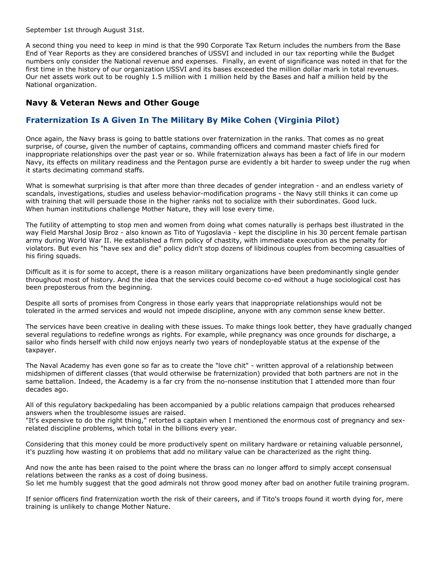September 1st through August 31st.

A second thing you need to keep in mind is that the 990 Corporate Tax Return includes the numbers from the Base End of Year Reports as they are considered branches of USSVI and included in our tax reporting while the Budget numbers only consider the National revenue and expenses. Finally, an event of significance was noted in that for the first time in the history of our organization USSVI and its bases exceeded the million dollar mark in total revenues. Our net assets work out to be roughly 1.5 million with 1 million held by the Bases and half a million held by the National organization.

## **Navy & Veteran News and Other Gouge**

## **Fraternization Is A Given In The Military By Mike Cohen (Virginia Pilot)**

Once again, the Navy brass is going to battle stations over fraternization in the ranks. That comes as no great surprise, of course, given the number of captains, commanding officers and command master chiefs fired for inappropriate relationships over the past year or so. While fraternization always has been a fact of life in our modern Navy, its effects on military readiness and the Pentagon purse are evidently a bit harder to sweep under the rug when it starts decimating command staffs.

What is somewhat surprising is that after more than three decades of gender integration - and an endless variety of scandals, investigations, studies and useless behavior-modification programs - the Navy still thinks it can come up with training that will persuade those in the higher ranks not to socialize with their subordinates. Good luck. When human institutions challenge Mother Nature, they will lose every time.

The futility of attempting to stop men and women from doing what comes naturally is perhaps best illustrated in the way Field Marshal Josip Broz - also known as Tito of Yugoslavia - kept the discipline in his 30 percent female partisan army during World War II. He established a firm policy of chastity, with immediate execution as the penalty for violators. But even his "have sex and die" policy didn't stop dozens of libidinous couples from becoming casualties of his firing squads.

Difficult as it is for some to accept, there is a reason military organizations have been predominantly single gender throughout most of history. And the idea that the services could become co-ed without a huge sociological cost has been preposterous from the beginning.

Despite all sorts of promises from Congress in those early years that inappropriate relationships would not be tolerated in the armed services and would not impede discipline, anyone with any common sense knew better.

The services have been creative in dealing with these issues. To make things look better, they have gradually changed several regulations to redefine wrongs as rights. For example, while pregnancy was once grounds for discharge, a sailor who finds herself with child now enjoys nearly two years of nondeployable status at the expense of the taxpayer.

The Naval Academy has even gone so far as to create the "love chit" - written approval of a relationship between midshipmen of different classes (that would otherwise be fraternization) provided that both partners are not in the same battalion. Indeed, the Academy is a far cry from the no-nonsense institution that I attended more than four decades ago.

All of this regulatory backpedaling has been accompanied by a public relations campaign that produces rehearsed answers when the troublesome issues are raised.

"It's expensive to do the right thing," retorted a captain when I mentioned the enormous cost of pregnancy and sexrelated discipline problems, which total in the billions every year.

Considering that this money could be more productively spent on military hardware or retaining valuable personnel, it's puzzling how wasting it on problems that add no military value can be characterized as the right thing.

And now the ante has been raised to the point where the brass can no longer afford to simply accept consensual relations between the ranks as a cost of doing business.

So let me humbly suggest that the good admirals not throw good money after bad on another futile training program.

If senior officers find fraternization worth the risk of their careers, and if Tito's troops found it worth dying for, mere training is unlikely to change Mother Nature.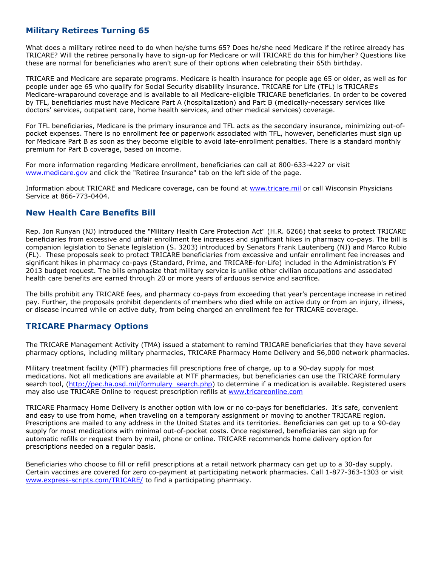## **Military Retirees Turning 65**

What does a military retiree need to do when he/she turns 65? Does he/she need Medicare if the retiree already has TRICARE? Will the retiree personally have to sign-up for Medicare or will TRICARE do this for him/her? Questions like these are normal for beneficiaries who aren't sure of their options when celebrating their 65th birthday.

TRICARE and Medicare are separate programs. Medicare is health insurance for people age 65 or older, as well as for people under age 65 who qualify for Social Security disability insurance. TRICARE for Life (TFL) is TRICARE's Medicare-wraparound coverage and is available to all Medicare-eligible TRICARE beneficiaries. In order to be covered by TFL, beneficiaries must have Medicare Part A (hospitalization) and Part B (medically-necessary services like doctors' services, outpatient care, home health services, and other medical services) coverage.

For TFL beneficiaries, Medicare is the primary insurance and TFL acts as the secondary insurance, minimizing out-ofpocket expenses. There is no enrollment fee or paperwork associated with TFL, however, beneficiaries must sign up for Medicare Part B as soon as they become eligible to avoid late-enrollment penalties. There is a standard monthly premium for Part B coverage, based on income.

For more information regarding Medicare enrollment, beneficiaries can call at 800-633-4227 or visit [www.medicare.gov](http://www.medicare.gov/) and click the "Retiree Insurance" tab on the left side of the page.

Information about TRICARE and Medicare coverage, can be found at [www.tricare.mil](http://www.tricare.mil/) or call Wisconsin Physicians Service at 866-773-0404.

## **New Health Care Benefits Bill**

Rep. Jon Runyan (NJ) introduced the "Military Health Care Protection Act" (H.R. 6266) that seeks to protect TRICARE beneficiaries from excessive and unfair enrollment fee increases and significant hikes in pharmacy co-pays. The bill is companion legislation to Senate legislation (S. 3203) introduced by Senators Frank Lautenberg (NJ) and Marco Rubio (FL). These proposals seek to protect TRICARE beneficiaries from excessive and unfair enrollment fee increases and significant hikes in pharmacy co-pays (Standard, Prime, and TRICARE-for-Life) included in the Administration's FY 2013 budget request. The bills emphasize that military service is unlike other civilian occupations and associated health care benefits are earned through 20 or more years of arduous service and sacrifice.

The bills prohibit any TRICARE fees, and pharmacy co-pays from exceeding that year's percentage increase in retired pay. Further, the proposals prohibit dependents of members who died while on active duty or from an injury, illness, or disease incurred while on active duty, from being charged an enrollment fee for TRICARE coverage.

## **TRICARE Pharmacy Options**

The TRICARE Management Activity (TMA) issued a statement to remind TRICARE beneficiaries that they have several pharmacy options, including military pharmacies, TRICARE Pharmacy Home Delivery and 56,000 network pharmacies.

Military treatment facility (MTF) pharmacies fill prescriptions free of charge, up to a 90-day supply for most medications. Not all medications are available at MTF pharmacies, but beneficiaries can use the TRICARE formulary search tool, [\(http://pec.ha.osd.mil/formulary\\_search.php](http://pec.ha.osd.mil/formulary_search.php)) to determine if a medication is available. Registered users may also use TRICARE Online to request prescription refills at [www.tricareonline.com](http://www.tricareonline.com/)

TRICARE Pharmacy Home Delivery is another option with low or no co-pays for beneficiaries. It's safe, convenient and easy to use from home, when traveling on a temporary assignment or moving to another TRICARE region. Prescriptions are mailed to any address in the United States and its territories. Beneficiaries can get up to a 90-day supply for most medications with minimal out-of-pocket costs. Once registered, beneficiaries can sign up for automatic refills or request them by mail, phone or online. TRICARE recommends home delivery option for prescriptions needed on a regular basis.

Beneficiaries who choose to fill or refill prescriptions at a retail network pharmacy can get up to a 30-day supply. Certain vaccines are covered for zero co-payment at participating network pharmacies. Call 1-877-363-1303 or visit [www.express-scripts.com/TRICARE/](http://www.express-scripts.com/TRICARE/) to find a participating pharmacy.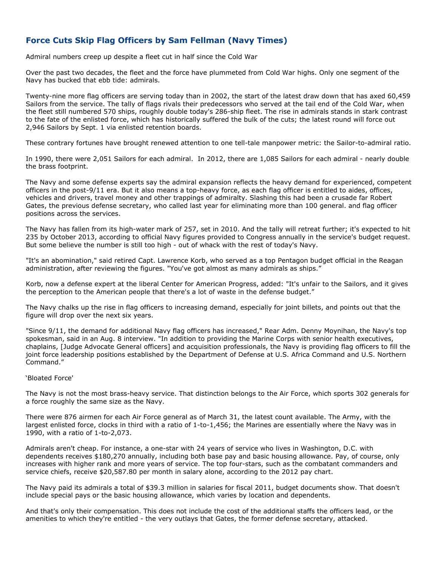## **Force Cuts Skip Flag Officers by Sam Fellman (Navy Times)**

Admiral numbers creep up despite a fleet cut in half since the Cold War

Over the past two decades, the fleet and the force have plummeted from Cold War highs. Only one segment of the Navy has bucked that ebb tide: admirals.

Twenty-nine more flag officers are serving today than in 2002, the start of the latest draw down that has axed 60,459 Sailors from the service. The tally of flags rivals their predecessors who served at the tail end of the Cold War, when the fleet still numbered 570 ships, roughly double today's 286-ship fleet. The rise in admirals stands in stark contrast to the fate of the enlisted force, which has historically suffered the bulk of the cuts; the latest round will force out 2,946 Sailors by Sept. 1 via enlisted retention boards.

These contrary fortunes have brought renewed attention to one tell-tale manpower metric: the Sailor-to-admiral ratio.

In 1990, there were 2,051 Sailors for each admiral. In 2012, there are 1,085 Sailors for each admiral - nearly double the brass footprint.

The Navy and some defense experts say the admiral expansion reflects the heavy demand for experienced, competent officers in the post-9/11 era. But it also means a top-heavy force, as each flag officer is entitled to aides, offices, vehicles and drivers, travel money and other trappings of admiralty. Slashing this had been a crusade far Robert Gates, the previous defense secretary, who called last year for eliminating more than 100 general. and flag officer positions across the services.

The Navy has fallen from its high-water mark of 257, set in 2010. And the tally will retreat further; it's expected to hit 235 by October 2013, according to official Navy figures provided to Congress annually in the service's budget request. But some believe the number is still too high - out of whack with the rest of today's Navy.

"It's an abomination," said retired Capt. Lawrence Korb, who served as a top Pentagon budget official in the Reagan administration, after reviewing the figures. "You've got almost as many admirals as ships."

Korb, now a defense expert at the liberal Center for American Progress, added: "It's unfair to the Sailors, and it gives the perception to the American people that there's a lot of waste in the defense budget."

The Navy chalks up the rise in flag officers to increasing demand, especially for joint billets, and points out that the figure will drop over the next six years.

"Since 9/11, the demand for additional Navy flag officers has increased," Rear Adm. Denny Moynihan, the Navy's top spokesman, said in an Aug. 8 interview. "In addition to providing the Marine Corps with senior health executives, chaplains, [Judge Advocate General officers] and acquisition professionals, the Navy is providing flag officers to fill the joint force leadership positions established by the Department of Defense at U.S. Africa Command and U.S. Northern Command."

#### 'Bloated Force'

The Navy is not the most brass-heavy service. That distinction belongs to the Air Force, which sports 302 generals for a force roughly the same size as the Navy.

There were 876 airmen for each Air Force general as of March 31, the latest count available. The Army, with the largest enlisted force, clocks in third with a ratio of 1-to-1,456; the Marines are essentially where the Navy was in 1990, with a ratio of 1-to-2,073.

Admirals aren't cheap. For instance, a one-star with 24 years of service who lives in Washington, D.C. with dependents receives \$180,270 annually, including both base pay and basic housing allowance. Pay, of course, only increases with higher rank and more years of service. The top four-stars, such as the combatant commanders and service chiefs, receive \$20,587.80 per month in salary alone, according to the 2012 pay chart.

The Navy paid its admirals a total of \$39.3 million in salaries for fiscal 2011, budget documents show. That doesn't include special pays or the basic housing allowance, which varies by location and dependents.

And that's only their compensation. This does not include the cost of the additional staffs the officers lead, or the amenities to which they're entitled - the very outlays that Gates, the former defense secretary, attacked.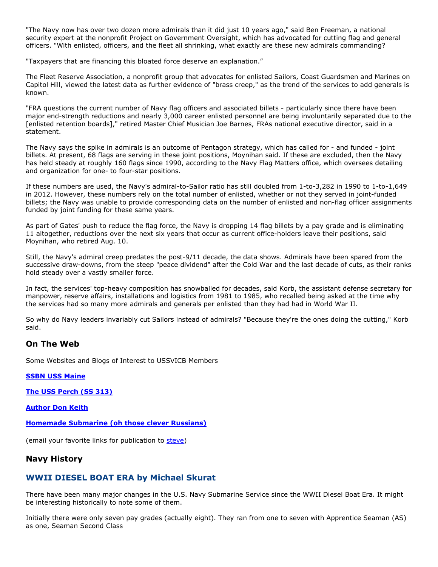"The Navy now has over two dozen more admirals than it did just 10 years ago," said Ben Freeman, a national security expert at the nonprofit Project on Government Oversight, which has advocated for cutting flag and general officers. "With enlisted, officers, and the fleet all shrinking, what exactly are these new admirals commanding?

"Taxpayers that are financing this bloated force deserve an explanation."

The Fleet Reserve Association, a nonprofit group that advocates for enlisted Sailors, Coast Guardsmen and Marines on Capitol Hill, viewed the latest data as further evidence of "brass creep," as the trend of the services to add generals is known.

"FRA questions the current number of Navy flag officers and associated billets - particularly since there have been major end-strength reductions and nearly 3,000 career enlisted personnel are being involuntarily separated due to the [enlisted retention boards]," retired Master Chief Musician Joe Barnes, FRAs national executive director, said in a statement.

The Navy says the spike in admirals is an outcome of Pentagon strategy, which has called for - and funded - joint billets. At present, 68 flags are serving in these joint positions, Moynihan said. If these are excluded, then the Navy has held steady at roughly 160 flags since 1990, according to the Navy Flag Matters office, which oversees detailing and organization for one- to four-star positions.

If these numbers are used, the Navy's admiral-to-Sailor ratio has still doubled from 1-to-3,282 in 1990 to 1-to-1,649 in 2012. However, these numbers rely on the total number of enlisted, whether or not they served in joint-funded billets; the Navy was unable to provide corresponding data on the number of enlisted and non-flag officer assignments funded by joint funding for these same years.

As part of Gates' push to reduce the flag force, the Navy is dropping 14 flag billets by a pay grade and is eliminating 11 altogether, reductions over the next six years that occur as current office-holders leave their positions, said Moynihan, who retired Aug. 10.

Still, the Navy's admiral creep predates the post-9/11 decade, the data shows. Admirals have been spared from the successive draw-downs, from the steep "peace dividend" after the Cold War and the last decade of cuts, as their ranks hold steady over a vastly smaller force.

In fact, the services' top-heavy composition has snowballed for decades, said Korb, the assistant defense secretary for manpower, reserve affairs, installations and logistics from 1981 to 1985, who recalled being asked at the time why the services had so many more admirals and generals per enlisted than they had had in World War II.

So why do Navy leaders invariably cut Sailors instead of admirals? "Because they're the ones doing the cutting," Korb said.

### **On The Web**

Some Websites and Blogs of Interest to USSVICB Members

**[SSBN USS Maine](http://www.youtube.com/watch?v=xdj6rM-QoS4)**

**[The USS Perch \(SS 313\)](http://www.defensemedianetwork.com/stories/uss-perch-sof-submarine/)**

**[Author Don Keith](http://www.donkeith.com/)**

**[Homemade Submarine \(oh those clever Russians\)](http://www.odditycentral.com/pics/home-made-submarine.html)** 

(email your favorite links for publication to [steve](mailto:steven.morawiec@comcast.net))

## **Navy History**

### **WWII DIESEL BOAT ERA by Michael Skurat**

There have been many major changes in the U.S. Navy Submarine Service since the WWII Diesel Boat Era. It might be interesting historically to note some of them.

Initially there were only seven pay grades (actually eight). They ran from one to seven with Apprentice Seaman (AS) as one, Seaman Second Class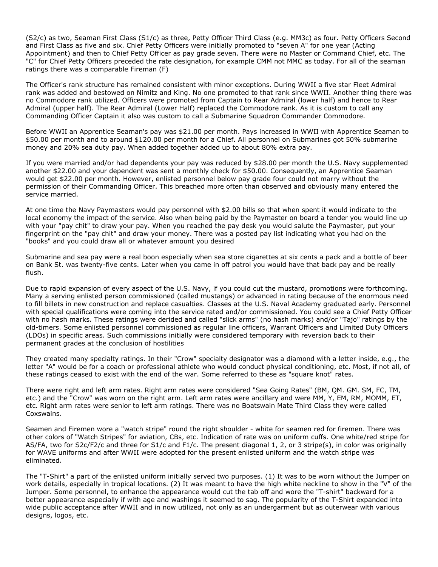(S2/c) as two, Seaman First Class (S1/c) as three, Petty Officer Third Class (e.g. MM3c) as four. Petty Officers Second and First Class as five and six. Chief Petty Officers were initially promoted to "seven A" for one year (Acting Appointment) and then to Chief Petty Officer as pay grade seven. There were no Master or Command Chief, etc. The "C" for Chief Petty Officers preceded the rate designation, for example CMM not MMC as today. For all of the seaman ratings there was a comparable Fireman (F)

The Officer's rank structure has remained consistent with minor exceptions. During WWII a five star Fleet Admiral rank was added and bestowed on Nimitz and King. No one promoted to that rank since WWII. Another thing there was no Commodore rank utilized. Officers were promoted from Captain to Rear Admiral (lower half) and hence to Rear Admiral (upper half). The Rear Admiral (Lower Half) replaced the Commodore rank. As it is custom to call any Commanding Officer Captain it also was custom to call a Submarine Squadron Commander Commodore.

Before WWII an Apprentice Seaman's pay was \$21.00 per month. Pays increased in WWII with Apprentice Seaman to \$50.00 per month and to around \$120.00 per month for a Chief. All personnel on Submarines got 50% submarine money and 20% sea duty pay. When added together added up to about 80% extra pay.

If you were married and/or had dependents your pay was reduced by \$28.00 per month the U.S. Navy supplemented another \$22.00 and your dependent was sent a monthly check for \$50.00. Consequently, an Apprentice Seaman would get \$22.00 per month. However, enlisted personnel below pay grade four could not marry without the permission of their Commanding Officer. This breached more often than observed and obviously many entered the service married.

At one time the Navy Paymasters would pay personnel with \$2.00 bills so that when spent it would indicate to the local economy the impact of the service. Also when being paid by the Paymaster on board a tender you would line up with your "pay chit" to draw your pay. When you reached the pay desk you would salute the Paymaster, put your fingerprint on the "pay chit" and draw your money. There was a posted pay list indicating what you had on the "books" and you could draw all or whatever amount you desired

Submarine and sea pay were a real boon especially when sea store cigarettes at six cents a pack and a bottle of beer on Bank St. was twenty-five cents. Later when you came in off patrol you would have that back pay and be really flush.

Due to rapid expansion of every aspect of the U.S. Navy, if you could cut the mustard, promotions were forthcoming. Many a serving enlisted person commissioned (called mustangs) or advanced in rating because of the enormous need to fill billets in new construction and replace casualties. Classes at the U.S. Naval Academy graduated early. Personnel with special qualifications were coming into the service rated and/or commissioned. You could see a Chief Petty Officer with no hash marks. These ratings were derided and called "slick arms" (no hash marks) and/or "Tajo" ratings by the old-timers. Some enlisted personnel commissioned as regular line officers, Warrant Officers and Limited Duty Officers (LDOs) in specific areas. Such commissions initially were considered temporary with reversion back to their permanent grades at the conclusion of hostilities

They created many specialty ratings. In their "Crow" specialty designator was a diamond with a letter inside, e.g., the letter "A" would be for a coach or professional athlete who would conduct physical conditioning, etc. Most, if not all, of these ratings ceased to exist with the end of the war. Some referred to these as "square knot" rates.

There were right and left arm rates. Right arm rates were considered "Sea Going Rates" (BM, QM. GM. SM, FC, TM, etc.) and the "Crow" was worn on the right arm. Left arm rates were ancillary and were MM, Y, EM, RM, MOMM, ET, etc. Right arm rates were senior to left arm ratings. There was no Boatswain Mate Third Class they were called Coxswains.

Seamen and Firemen wore a "watch stripe" round the right shoulder - white for seamen red for firemen. There was other colors of "Watch Stripes" for aviation, CBs, etc. Indication of rate was on uniform cuffs. One white/red stripe for AS/FA, two for S2c/F2/c and three for S1/c and F1/c. The present diagonal 1, 2, or 3 stripe(s), in color was originally for WAVE uniforms and after WWII were adopted for the present enlisted uniform and the watch stripe was eliminated.

The "T-Shirt" a part of the enlisted uniform initially served two purposes. (1) It was to be worn without the Jumper on work details, especially in tropical locations. (2) It was meant to have the high white neckline to show in the "V" of the Jumper. Some personnel, to enhance the appearance would cut the tab off and wore the "T-shirt" backward for a better appearance especially if with age and washings it seemed to sag. The popularity of the T-Shirt expanded into wide public acceptance after WWII and in now utilized, not only as an undergarment but as outerwear with various designs, logos, etc.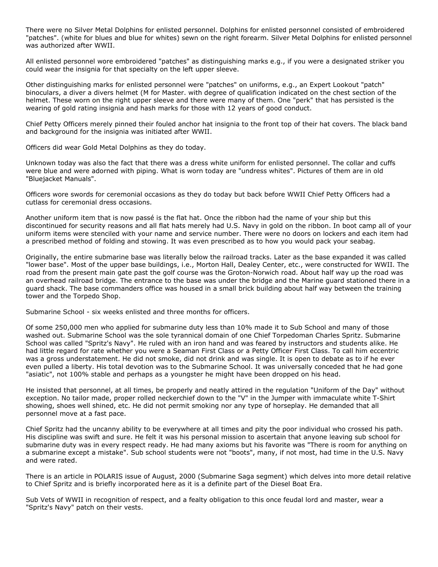There were no Silver Metal Dolphins for enlisted personnel. Dolphins for enlisted personnel consisted of embroidered "patches". (white for blues and blue for whites) sewn on the right forearm. Silver Metal Dolphins for enlisted personnel was authorized after WWII.

All enlisted personnel wore embroidered "patches" as distinguishing marks e.g., if you were a designated striker you could wear the insignia for that specialty on the left upper sleeve.

Other distinguishing marks for enlisted personnel were "patches" on uniforms, e.g., an Expert Lookout "patch" binoculars, a diver a divers helmet (M for Master. with degree of qualification indicated on the chest section of the helmet. These worn on the right upper sleeve and there were many of them. One "perk" that has persisted is the wearing of gold rating insignia and hash marks for those with 12 years of good conduct.

Chief Petty Officers merely pinned their fouled anchor hat insignia to the front top of their hat covers. The black band and background for the insignia was initiated after WWII.

Officers did wear Gold Metal Dolphins as they do today.

Unknown today was also the fact that there was a dress white uniform for enlisted personnel. The collar and cuffs were blue and were adorned with piping. What is worn today are "undress whites". Pictures of them are in old "Bluejacket Manuals".

Officers wore swords for ceremonial occasions as they do today but back before WWII Chief Petty Officers had a cutlass for ceremonial dress occasions.

Another uniform item that is now passé is the flat hat. Once the ribbon had the name of your ship but this discontinued for security reasons and all flat hats merely had U.S. Navy in gold on the ribbon. In boot camp all of your uniform items were stenciled with your name and service number. There were no doors on lockers and each item had a prescribed method of folding and stowing. It was even prescribed as to how you would pack your seabag.

Originally, the entire submarine base was literally below the railroad tracks. Later as the base expanded it was called "lower base". Most of the upper base buildings, i.e., Morton Hall, Dealey Center, etc., were constructed for WWII. The road from the present main gate past the golf course was the Groton-Norwich road. About half way up the road was an overhead railroad bridge. The entrance to the base was under the bridge and the Marine guard stationed there in a guard shack. The base commanders office was housed in a small brick building about half way between the training tower and the Torpedo Shop.

Submarine School - six weeks enlisted and three months for officers.

Of some 250,000 men who applied for submarine duty less than 10% made it to Sub School and many of those washed out. Submarine School was the sole tyrannical domain of one Chief Torpedoman Charles Spritz. Submarine School was called "Spritz's Navy". He ruled with an iron hand and was feared by instructors and students alike. He had little regard for rate whether you were a Seaman First Class or a Petty Officer First Class. To call him eccentric was a gross understatement. He did not smoke, did not drink and was single. It is open to debate as to if he ever even pulled a liberty. His total devotion was to the Submarine School. It was universally conceded that he had gone "asiatic", not 100% stable and perhaps as a youngster he might have been dropped on his head.

He insisted that personnel, at all times, be properly and neatly attired in the regulation "Uniform of the Day" without exception. No tailor made, proper rolled neckerchief down to the "V" in the Jumper with immaculate white T-Shirt showing, shoes well shined, etc. He did not permit smoking nor any type of horseplay. He demanded that all personnel move at a fast pace.

Chief Spritz had the uncanny ability to be everywhere at all times and pity the poor individual who crossed his path. His discipline was swift and sure. He felt it was his personal mission to ascertain that anyone leaving sub school for submarine duty was in every respect ready. He had many axioms but his favorite was "There is room for anything on a submarine except a mistake". Sub school students were not "boots", many, if not most, had time in the U.S. Navy and were rated.

There is an article in POLARIS issue of August, 2000 (Submarine Saga segment) which delves into more detail relative to Chief Spritz and is briefly incorporated here as it is a definite part of the Diesel Boat Era.

Sub Vets of WWII in recognition of respect, and a fealty obligation to this once feudal lord and master, wear a "Spritz's Navy" patch on their vests.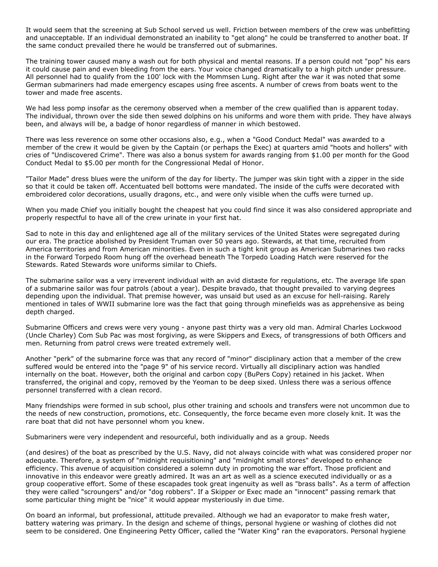It would seem that the screening at Sub School served us well. Friction between members of the crew was unbefitting and unacceptable. If an individual demonstrated an inability to "get along" he could be transferred to another boat. If the same conduct prevailed there he would be transferred out of submarines.

The training tower caused many a wash out for both physical and mental reasons. If a person could not "pop" his ears it could cause pain and even bleeding from the ears. Your voice changed dramatically to a high pitch under pressure. All personnel had to qualify from the 100' lock with the Mommsen Lung. Right after the war it was noted that some German submariners had made emergency escapes using free ascents. A number of crews from boats went to the tower and made free ascents.

We had less pomp insofar as the ceremony observed when a member of the crew qualified than is apparent today. The individual, thrown over the side then sewed dolphins on his uniforms and wore them with pride. They have always been, and always will be, a badge of honor regardless of manner in which bestowed.

There was less reverence on some other occasions also, e.g., when a "Good Conduct Medal" was awarded to a member of the crew it would be given by the Captain (or perhaps the Exec) at quarters amid "hoots and hollers" with cries of "Undiscovered Crime". There was also a bonus system for awards ranging from \$1.00 per month for the Good Conduct Medal to \$5.00 per month for the Congressional Medal of Honor.

"Tailor Made" dress blues were the uniform of the day for liberty. The jumper was skin tight with a zipper in the side so that it could be taken off. Accentuated bell bottoms were mandated. The inside of the cuffs were decorated with embroidered color decorations, usually dragons, etc., and were only visible when the cuffs were turned up.

When you made Chief you initially bought the cheapest hat you could find since it was also considered appropriate and properly respectful to have all of the crew urinate in your first hat.

Sad to note in this day and enlightened age all of the military services of the United States were segregated during our era. The practice abolished by President Truman over 50 years ago. Stewards, at that time, recruited from America territories and from American minorities. Even in such a tight knit group as American Submarines two racks in the Forward Torpedo Room hung off the overhead beneath The Torpedo Loading Hatch were reserved for the Stewards. Rated Stewards wore uniforms similar to Chiefs.

The submarine sailor was a very irreverent individual with an avid distaste for regulations, etc. The average life span of a submarine sailor was four patrols (about a year). Despite bravado, that thought prevailed to varying degrees depending upon the individual. That premise however, was unsaid but used as an excuse for hell-raising. Rarely mentioned in tales of WWII submarine lore was the fact that going through minefields was as apprehensive as being depth charged.

Submarine Officers and crews were very young - anyone past thirty was a very old man. Admiral Charles Lockwood (Uncle Charley) Com Sub Pac was most forgiving, as were Skippers and Execs, of transgressions of both Officers and men. Returning from patrol crews were treated extremely well.

Another "perk" of the submarine force was that any record of "minor" disciplinary action that a member of the crew suffered would be entered into the "page 9" of his service record. Virtually all disciplinary action was handled internally on the boat. However, both the original and carbon copy (BuPers Copy) retained in his jacket. When transferred, the original and copy, removed by the Yeoman to be deep sixed. Unless there was a serious offence personnel transferred with a clean record.

Many friendships were formed in sub school, plus other training and schools and transfers were not uncommon due to the needs of new construction, promotions, etc. Consequently, the force became even more closely knit. It was the rare boat that did not have personnel whom you knew.

Submariners were very independent and resourceful, both individually and as a group. Needs

(and desires) of the boat as prescribed by the U.S. Navy, did not always coincide with what was considered proper nor adequate. Therefore, a system of "midnight requisitioning" and "midnight small stores" developed to enhance efficiency. This avenue of acquisition considered a solemn duty in promoting the war effort. Those proficient and innovative in this endeavor were greatly admired. It was an art as well as a science executed individually or as a group cooperative effort. Some of these escapades took great ingenuity as well as "brass balls". As a term of affection they were called "scroungers" and/or "dog robbers". If a Skipper or Exec made an "innocent" passing remark that some particular thing might be "nice" it would appear mysteriously in due time.

On board an informal, but professional, attitude prevailed. Although we had an evaporator to make fresh water, battery watering was primary. In the design and scheme of things, personal hygiene or washing of clothes did not seem to be considered. One Engineering Petty Officer, called the "Water King" ran the evaporators. Personal hygiene